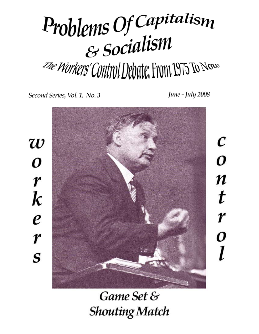# Problems Of Capitalism *The Workers' Control Debate:* From 1975 To Now

Second Series, Vol. 1. No. 3

0

 $\boldsymbol{r}$ 

 $\boldsymbol{\ell}$ 

 $\boldsymbol{r}$ 

 $\overline{\mathbf{S}}$ 

June - July 2008



 $\boldsymbol{c}$  $\boldsymbol{O}$  $\boldsymbol{n}$  $\boldsymbol{t}$ r  $\boldsymbol{o}$  $\mathbf{I}$ 

Game Set & **Shouting Match**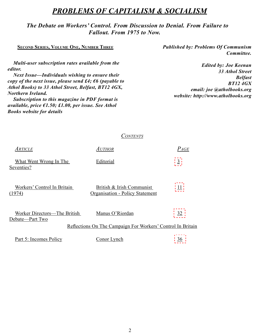# *Problems of Capitalism & Socialism*

## *The Debate on Workers' Control. From Discussion to Denial. From Failure to Fallout. From 1975 to Now.*

| <b>SECOND SERIES, VOLUME ONE, NUMBER THREE</b>                                                                                              | <b>Published</b> |
|---------------------------------------------------------------------------------------------------------------------------------------------|------------------|
| <b>Multi-user subscription rates available from the</b>                                                                                     |                  |
| <i>editor.</i>                                                                                                                              |                  |
| Next Issue—Individuals wishing to ensure their                                                                                              |                  |
| copy of the next issue, please send $\pounds 4$ ; $\pounds 6$ (payable to                                                                   |                  |
| Athol Books) to 33 Athol Street, Belfast, BT12 4GX,                                                                                         |                  |
| <b>Northern Ireland.</b><br>Subscription to this magazine in PDF format is<br>available, price $\epsilon$ 1.50; £1.00, per issue. See Athol | websi            |
| <b>Books website for details</b>                                                                                                            |                  |

**Second Series Communism Published** *By***: Problems Of Communism** *Committee.*

> *Edited by: Joe Keenan 33 Athol Street Belfast BT12 4GX email: joe @atholbooks.org website: http://www.atholbooks.org*

#### *Contents*

|        | Article                                         | Author                                                                         | $P_{AGE}$      |
|--------|-------------------------------------------------|--------------------------------------------------------------------------------|----------------|
|        | What Went Wrong In The<br>Seventies?            | Editorial                                                                      | $\overline{3}$ |
| (1974) | Workers' Control In Britain                     | British & Irish Communist<br><b>Organisation - Policy Statement</b>            | 11             |
|        | Worker Directors—The British<br>Debate—Part Two | Manus O'Riordan<br>Reflections On The Campaign For Workers' Control In Britain | 32             |
|        | Part 5: Incomes Policy                          | Conor Lynch                                                                    | <u>36</u>      |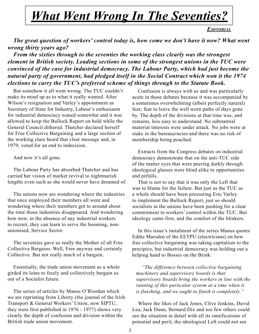# <span id="page-2-0"></span>*What Went Wrong In The Seventies?*

*Editorial*

*The great question of workers' control today is, how come we don't have it now? What went wrong thirty years ago?*

*From the sixties through to the seventies the working class clearly was the strongest element in British society. Leading sections in some of the strongest unions in the TUC were convinced of the case for industrial democracy. The Labour Party, which had just become the natural party of government, had pledged itself in the Social Contract which won it the 1974 elections to carry the TUC's preferred scheme of things through to the Statute Book.*

But somehow it all went wrong. The TUC couldn't make its mind up as to what it really wanted. After Wilson's resignation and Varley's appointment as Secretary of State for Industry, Labour's enthusiasm for industrial democracy waned somewhat and it was allowed to keep the Bullock Report on hold while the General Council dithered. Thatcher declared herself for Free Collective Bargaining and a large section of the working class heard that clear message and, in 1979, voted for an end to indecision.

And now it's all gone.

The Labour Party has absorbed Thatcher and has carried her vision of market revival to nightmarish lengths even such as she would never have dreamed of.

The unions now are wondering where the industries that once employed their members all went and wondering where their members got to around about the time those industries disappeared. And wondering how now, in the absence of any industrial workers to recruit, they can learn to serve the booming, nonunionised, Service Sector.

The seventies gave us really the Mother of all Free Collective Bargains. Well, Free anyway and certainly Collective. But not really much of a bargain.

Essentially, the trade union movement as a whole girded its loins to freely and collectively bargain us out of a Socialist future.

The series of articles by Manus O'Riordan which we are reprinting from Liberty (the journal of the Irish Transport & General Workers' Union, now SIPTU, they were first published in 1976 - 1977) shows very clearly the depth of confusion and division within the British trade union movement.

Confusion is always with us and was particularly acute in those debates because it was accompanied by a sometimes overwhelming (albeit perfectly natural) fear; fear to leave the well worn paths of days gone by. The depth of the divisions at that time was, and remains, less easy to understand. No substantial material interests were under attack. No jobs were at stake in the bureaucracies and there was no risk of membership being poached.

Extracts from the Congress debates on industrial democracy demonstrate that on the anti-TUC side of the matter eyes that were peering darkly through ideological glasses were blind alike to opportunities and pitfalls.

That is not to say that it was only the Left that was to blame for the failure. But just as the TUC as a whole should have been pressuring Eric Varley to implement the Bullock Report, just so should socialists in the unions have been pushing for a clear commitment to workers' control within the TUC. But ideology came first, and the comfort of the blinkers.

In this issue's instalment of the series Manus quotes Eddie Marsden of the EETPU (electricians) on how free collective bargaining was taking capitalism to the precipice, but industrial democracy was holding out a helping hand to Bosses on the Brink:

*"The difference between collective bargaining machinery and supervisory boards is that supervisory boards bring the workers in line with the running of this particular system at a time when it is finishing, and we ought to finish it completely."*

Where the likes of Jack Jones, Clive Jenkins, David Lea, Jack Dunn, Bernard Dix and too few others could see the situation in detail with all its ramifications of potential and peril, the ideological Left could not see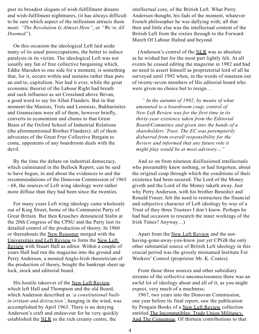past its broadest slogans of wish-fulfillment dreams and wish-fulfilment nightmares, (it has always difficult to be sure which aspect of the millenium attracts them most: *"The Revolution Is Almost Here"*, or *"We're All Doomed"*).

On this occasion the ideological Left laid aside many of its usual preoccupations, the better to induce paralysis in its victim. The ideological Left was not usually any fan of free collective bargaining which, Eddie Marsden to one side for a moment, is something that, for it, occurs within and sustains rather than puts an end to, capitalism. Nor had it ever, while the great economic theorist of the Labour Right had breath and such influence as set Crossland above Bevan, a good word to say for Allan Flanders. But in that moment the Maoists, Trots and Leninists, Bukharinites and Gramscians were all of them, however briefly, converts to economism and chums to that Great Beast of the Oxford School of Industrial Relations (the aforementioned Brother Flanders): all of them advocates of the Great Free Collective Bargain to come, opponents of any boardroom deals with the devil.

By the time the debate on industrial democracy, which culminated in the Bullock Report, can be said to have begun, in and about the evidences to and the recommendations of the Donovan Commission of 1965 - 68, the sources of Left wing ideology were rather more diffuse than they had been since the twenties.

For many years Left wing ideology came wholesale out of King Street, home of the Communist Party of Great Britain. But then Kruschev denounced Stalin at the 20th Congress of the CPSU and the Party lost its detailed control of the production of theory. In 1960 or thereabouts the New Reasoner merged with the Universities and Left Review to form the New Left Review with Stuart Hall as editor. Within a couple of years Hall had run the magazine into the ground and Perry Anderson, a monied Anglo-Irish theoretician of the production of theory, bought the bankrupt sheet up lock, stock and editorial board.

His hostile takeover of the New Left Review, which left Hall and Thompson and the old Board, which Anderson described as *'a constitutional builtin irritant and distraction'*, hanging in the wind, was accomplished by April 1963. There is no denying Anderson's craft and endeavour for he very quickly established the NLR as the rich creamy centre, the

intellectual core, of the British Left. What Perry Anderson thought, his fads of the moment, whatever French philosopher he was dallying with; all that then and little else was the intellectual content of the British Left from the sixties through to the Forward March Of Labour Halted and beyond.

(Anderson's control of the NLR was as absolute as he wished but for the most part lightly felt. At all events he ceased editing the magazine in 1982 and had no need to assert himself as proprietorial lord of all he surveyed until 1992 when, in the words of nineteen out of twenty-seven members of His editorial board who were given no choice but to resign…

*" In the autumn of 1992, by means of what amounted to a boardroom coup, control of New Left Review was for the first time in its thirty-year existence taken from the Editorial Board/Committee and given into the hands of a shareholders' Trust. The EC was peremptorily disbarred from overall responsibility for the Review and informed that any future role it might play would be at most advisory…"*

And so on from nineteen disillusioned intellectuals who presumably knew nothing, or had forgotten, about the original coup through which the conditions of their existence had been secured. The Lord of the Money giveth and the Lord of the Money taketh away. Just why Perry Anderson, with his brother Benedict and Ronald Fraser, felt the need to restructure the financial and subjective character of Left ideology by way of a Trust of they three Trustees I don't know. Perhaps he had had occasion to research the inner workings of the Irish Times? Anyway…)

Apart from the New Left Review and the nothaving-gone-away-you-know just yet CPGB the only other substantial source of British Left ideology in this crucial period was the grossly misnamed Institute For Workers' Control (proprietor Mr. K. Coates).

From those three sources and other subsidiary streams of the collective unconsciousness there was an awful lot of ideology about and all of it, as you might expect, very much of a muchness.

1967, two years into the Donovan Commission, one year before its final report, saw the publication by Penguin Books of a New Left Review collection entitled The Incompatibles: Trade Union Militancy And The Consensus. Of thirteen contributions to that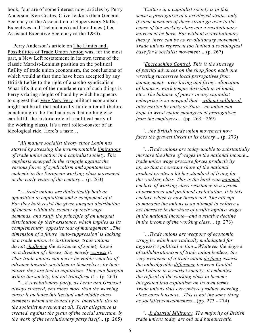book, four are of some interest now; articles by Perry Anderson, Ken Coates, Clive Jenkins (then General Secretary of the Association of Supervisory Staffs, Executives and Technicians) and Jack Jones (then Assistant Executive Secretary of the T&G).

Perry Anderson's article on The Limits and Possibilities of Trade Union Action was, for the most part, a New Left restatement in its own terms of the classic Marxist-Leninist position on the political futility of trade union economism, the conclusions of which would at that time have been accepted by any British Leftie to the right of anarcho-syndicalism. What lifts it out of the mundane run of such things is Perry's daring sleight of hand by which he appears to suggest that Very Very Very militant economism might not be all that politically futile after all (before concluding in the final analysis that nothing else can fulfill the historic role of a political party of the working class). It's a real roller-coaster of an ideological ride. Here's a taste…

*"All mature socialist theory since Lenin has started by stressing the insurmountable limitations of trade union action in a capitalist society. This emphasis emerged in the struggle against the various forms of syndicalism and spontaneism endemic in the European working-class movement in the early years of the century…* (p. 263)

*":…trade unions are dialectically both an opposition to capitalism and a component of it. For they both resist the given unequal distribution of income within the society by their wage demands, and ratify the principle of an unequal distribution by their existence, which implies as its complementary opposite that of management…The dimension of a future 'auto-suppression' is lacking in a trade union. As institutions, trade unions do not challenge the existence of society based on a division of classes, they merely express it. Thus trade unions can never be viable vehicles of advance towards socialism in themselves; by their nature they are tied to capitalism. They can bargain within the society, but not transform it…* (p. 264)

*"…A revolutionary party, as Lenin and Gramsci always stressed, embraces more than the working class; it includes intellectual and middle class elements which are bound by no inevitable ties to the socialist movement at all. Their allegiance is created, against the grain of the social structure, by the work of the revolutionary party itself…* (p. 265)

*"Culture in a capitalist society is in this sense a prerogative of a privileged strata: only if some members of these strata go over to the cause of the working class can a revolutionary movement be born. For without a revolutionary theory, there can be no revolutionary movement. Trade unions represent too limited a sociological base for a socialist movement…* (p. 267)

*"Encroaching Control. This is the strategy of partial advances on the shop floor, each one wresting successive local prerogatives from management—over hiring and firing, allocation of bonuses, work tempo, distribution of loads, etc…The balance of power in any capitalist enterprise is so unequal that—without collateral intervention by party or State—no union can hope to wrest major management prerogatives from the employers…* (pp. 268 - 269)

*"…the British trade union movement now faces the gravest threat in its history…* (p. 273)

*"…Trade unions are today unable to substantially increase the share of wages in the national income… trade union wage pressure forces productivity up, so that a constant share of the national product creates a higher standard of living for the working class. This is the hard-won minimal enclave of working class resistance in a system of permanent and profound exploitation. It is this enclave which is now threatened. The attempt to manacle the unions is an attempt to enforce a net increase in the share of profits against wages in the national income—and a relative decline in the income of the working class…* (p. 273)

*"…Trade unions are weapons of economic struggle, which are radically maladapted for aggressive political action…Whatever the degree of collaborationism of trade union leaders, the very existence of a trade union de facto asserts the unbridgeable difference between Capital and Labour in a market society; it embodies the refusal of the working class to become integrated into capitalism on its own terms. Trade unions thus everywhere produce working class consciousness…This is not the same thing as socialist consciousness…*(pp. 273 - 274)

*"…Industrial Militancy. The majority of British trade unions today are old and bureaucratic.*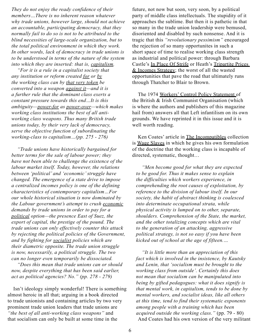*They do not enjoy the ready confidence of their members…There is no inherent reason whatever why trade unions, however large, should not achieve an accountable, participating democracy, that they normally fail to do so is not to be attributed to the blind necessities of large-scale organization, but to the total political environment in which they work. In other words, lack of democracy in trade unions is to be understood in terms of the nature of the system into which they are inserted: that is, capitalism.*

*"For it is a rule in a capitalist society that any institution or reform created for or by the working class can by that very token be converted into a weapon against it—and it is a further rule that the dominant class exerts a constant pressure towards this end…It is this ambiguity—power-for as power-over—which makes working class institutions the best of all antiworking class weapons. Thus many British trade unions today, by their very lack of democracy, serve the objective function of subordinating the working-class to capitalism…(pp. 275 - 276)*

*"Trade unions have historically bargained for better terms for the sale of labour power; they have not been able to challenge the existence of the labour market itself. Today, however, the relations between 'political' and 'economic' struggle have changed. The emergence of a state drive to impose a centralized incomes policy is one of the defining characteristics of contemporary capitalism…For our whole historical situation is now dominated by the Labour government's attempt to crush economic demands by trade unions in order to pay for a political option—the presence East of Suez, the export of capital, the prestige of the pound. The trade unions can only effectively counter this attack by rejecting the political policies of the Government, and by fighting for socialist policies which are their diametric opposite. The trade union struggle is now, necessarily, a political struggle. The two can no longer even temporarily be dissociated.*

*"Does this mean that trade unions can or should now, despite everything that has been said earlier, act as political agencies? No." (pp. 278 - 279)*

Isn't ideology simply wonderful! There is something almost heroic in all that; arguing in a book directed to trade unionists and containing articles by two very prominent trade union leaders that trade unions are *"the best of all anti-working class weapons"* and that socialism can only be built at some time in the

future, not now but soon, very soon, by a political party of middle class intellectuals. The stupidity of it approaches the sublime. But then it is pathetic in that so many in the trade union leadership were bemused, disoriented and disabled by such nonsense. And it is tragic that this *"revolutionary pessimism"* encouraged the rejection of so many opportunites in such a short space of time to realise working class strength as industrial and political power: through Barbara Castle's In Place Of Strife or Heath's Tripartite Prices & Incomes Strategy; the worst of all the wasted opportunities that pave the road that ultimately runs through Thatcher to Blair to Brown.

The 1974 Workers' Control Policy Statement of the British & Irish Communist Organisation (which is where the authors and publishers of this magazine hail from) answers all that Left infantilism on its own grounds. We have reprinted it in this issue and it is well worth reading.

Ken Coates' article in The Incompatibles collection is Wage Slaves in which he gives his own formulation of the doctrine that the working class is incapable of directed, systematic, thought…

*"Men become good for what they are expected to be good for. Thus it makes sense to explain the difficulties which workers experience, in comprehending the root causes of exploitation, by reference to the division of labour itself. In our society, the habit of abstract thinking is coalesced into determinate occupational strata, while physical activity is lumped on to other, separate, shoulders. Comprehension of the State, the market, and the other totalizing concepts which are vital to the generation of an attacking, aggressive political strategy, is not so easy if you have been kicked out of school at the age of fifteen.…*

*"It is little more than an appreciation of this fact which is involved in the insistence, by Kautsky and Lenin, that 'socialism must be brought to the working class from outside'. Certainly this does not mean that socialism can be manipulated into being by gifted pedagogues: what it does signify is that mental work, in capitalism, tends to be done by mental workers, and socialist ideas, like all others at this time, tend to find their systematic exponents among people with a training which has been acquired outside the working class."* (pp. 79 - 80) And Coates had his own version of the very militant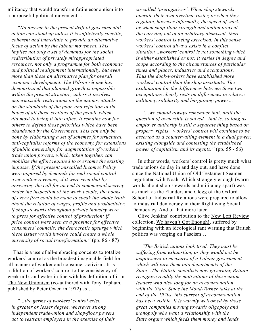militancy that would transform futile economism into a purposeful political movement…

*"No answer to the present drift of governmental action can stand up unless it is sufficiently specific, coherent and immediate to provide an alternative focus of action by the labour movement. This implies not only a set of demands for the social redistribution of privately misappropriated resources, not only a programme for both economic and political realignment internationally, but even more than these an alternative plan for overall economic development. The Wilson régime has demonstrated that planned growth is impossible within the present structure, unless it involves impermissible restrictions on the unions, attacks on the standards of the poor, and rejection of the hopes of all those sections of the people which did most to bring it into office. It remains now for others to defend those priorities which have been abandoned by the Government. This can only be done by elaborating a set of schemes for structural, anti-capitalist reforms of the economy, for extensions of public ownership, for augmentation of workers' trade union powers, which, taken together, can mobilize the effort required to overcome the existing impasse. If the present miscalled Incomes Policy were opposed by demands for real social control over rentier revenues; if it were seen that by answering the call for an end to commercial secrecy under the inspection of the work-people, the books of every firm could be made to speak the whole truth about the relation of wages, profits and productivity; if shop stewards throughout private industry were to press for effective control of production; if price control were seen as a province for effective consumers' councils: the democratic upsurge which these issues would involve could create a whole university of social transformation."* (pp. 86 - 87)

That is a use of all-embracing concepts to totalize workers' control as the broadest imaginable field for all manner of worker and consumer activism. It is a dilution of workers' control to the consistency of weak milk and water in line with his definition of it in The New Unionism (co-authored with Tony Topham, published by Peter Owen in 1972) as…

*"…the germs of workers' control exist, in greater or lesser degree, wherever strong independent trade-union and shop-floor powers act to restrain employers in the exercise of their* 

*so-called 'prerogatives'. When shop stewards operate their own overtime roster, or when they regulate, however informally, the speed of work, or when shop-floor strength and action prevent the carrying out of an arbitrary dismissal, there workers' control is being exercised. In this sense workers' control always exists in a conflict situation…workers' control is not something which is either established or not: it varies in degree and scope according to the circumstances of particular times and places, industries and occupations. Thus the dock-workers have established more workers' control than the shop assistants. The explanation for the differences between these two occupations clearly rests on differences in relative militancy, solidarity and bargaining power…*

*"…we should always remember that, until the question of ownership is solved—that is, so long as employer authority is still a separate thing based on property rights—workers' control will continue to be asserted as a countervailing element in a dual power, existing alongside and contesting the established power of capitalism and its agents."* (pp. 55 - 56)

In other words, workers' control is pretty much what trade unions do day in and day out, and have done since the National Union of Old Testament Seamen negotiated with Noah. Which strangely enough (warm words about shop stewards and militancy apart) was as much as the Flanders and Clegg of the Oxford School of Industrial Relations were prepared to allow to industrial democracy in their Right wing Social Democracy. And of that more later.

Clive Jenkins' contribution to the New Left Review collection, We haven't Got Enough!, suffered by beginning with an ideological rant warning that British politics was verging on Fascism…

*"The British unions look tired. They must be suffering from exhaustion, or they would not be acquiescent to measures of a Labour government which will turn them into departments of the State…The étatiste socialists now governing Britain recognize readily the motivations of those union leaders who also long for an accommodation with the State. Since the Mond-Turner talks at the end of the 1920s, this current of accommodation has been visible. It is warmly welcomed by those great companies moving towards oligopoly and monopoly who want a relationship with the State organs which feeds them money and lends*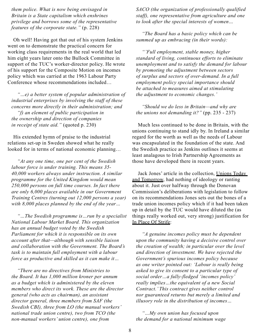*them police. What is now being envisaged in Britain is a State capitalism which enshrines privilege and borrows some of the representative features of the corporate state."* (p. 228)

Oh well! Having got that out of his system Jenkins went on to demonstrate the practical concern for working class requirements in the real world that led him eight years later onto the Bullock Committee in support of the TUC's worker-director policy. He wrote of his support for the Composite Motion on incomes policy which was carried at the 1963 Labour Party Conference whose recommendations included…

*"…e) a better system of popular administration of industrial enterprises by involving the staff of these concerns more directly in their administration; and "f) an element of public participation in the ownership and direction of companies in receipt of state aid."* (quoted p. 230)

His extended hymn of praise to the industrial relations set-up in Sweden showed what he really looked for in terms of national economic planning…

*"At any one time, one per cent of the Swedish labour force is under training. This means 35- 40,000 workers always under instruction. A similar programme for the United Kingdom would mean 250,000 persons on full time courses. In fact there are only 6,000 places available in our Government Training Centres (turning out 12,000 persons a year) with 8,000 places planned by the end of the year…*

*"…The Swedish programme is…run by a specialist National Labour Market Board. This organization has an annual budget voted by the Swedish Parliament for which it is responsible on its own account after that—although with sensible liaison and collaboration with the Government. The Board's task is to maintain full employment with a labour force as productive and skilled as it can make it…*

*"There are no directives from Ministries to the Board. It has 1,000 million kroner per annum as a budget which is administered by the eleven members who direct its work. These are the director general (who acts as chairman), an assistant director general, three members from SAF (the Swedish CBI), three from LO (the manual workers' national trade union centre), two from TCO (the non-manual workers' union centre), one from* 

*SACO (the organization of professionally qualified staff), one representative from agriculture and one to look after the special interests of women…*

*"The Board has a basic policy which can be summed up as embracing (in their words):*

*"'Full employment, stable money, higher standard of living, continuous efforts to eliminate unemployment and to satisfy the demand for labour by promoting the adjustment between sectors of surplus and sectors of over-demand. In a full employment policy special importance should be attached to measures aimed at stimulating the adjustment to economic changes.'*

*"Should we do less in Britain—and why are the unions not demanding it?"* (pp. 235 - 237)

Much less continued to be done in Britain, with the unions continuing to stand idly by. In Ireland a similar regard for the worth as well as the needs of Labour was encapsulated in the foundation of the state. And the Swedish practice as Jenkins outlines it seems at least analagous to Irish Partnership Agreements as those have developed there in recent years.

Jack Jones' article in the collection, Unions Today and Tomorrow, had nothing of ideology or ranting about it. Just over halfway through the Donovan Commission's deliberations with legislation to follow on its recommendations Jones sets out the bones of a trade union incomes policy which if it had been taken up in detail by the TUC would have diluted the (as things really worked out, very strong) justification for In Place Of Strife:

*"A genuine incomes policy must be dependent upon the community having a decisive control over the creation of wealth; in particular over the level and direction of investment. We have rejected the Government's spurious incomes policy because as one writer pointed out: 'Labour is really being asked to give its consent to a particular type of social order…a fully-fledged 'incomes policy' really implies…the equivalent of a new Social Contract.' This contract gives neither control nor guaranteed returns but merely a limited and illusory role in the distribution of incomes…*

*"…My own union has focused upon the demand for a national minimum wage*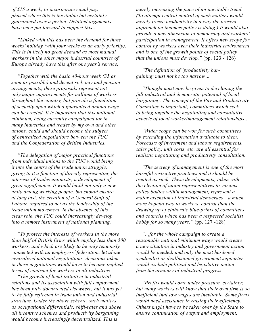*of £15 a week, to incorporate equal pay, phased where this is inevitable but certainly guaranteed over a period. Detailed arguments have been put forward to support this…*

*"Linked with this has been the demand for three weeks' holiday (with four weeks as an early priority). This is in itself no great demand as most manual workers in the other major industrial countries of Europe already have this after one year's service.*

*"Together with the basic 40-hour week (35 as soon as possible) and decent sick-pay and pension arrangements, these proposals represent not only major improvements for millions of workers throughout the country, but provide a foundation of security upon which a guaranteed annual wage can be erected. It is important that this national minimum, being currently campaigned for in many industries and trades by my own and other unions, could and should become the subject of centralized negotiations between the TUC and the Confederation of British Industries.*

*"The delegation of major practical functions from individual unions to the TUC would bring it into the centre of the trade union struggle, giving to it a function of directly representing the interests of trades unionists; a development of great significance. It would build not only a new unity among working people, but should ensure, at long last, the creation of a General Staff of Labour, required to act as the leadership of the trade union movement. In the absence of this clear role, the TUC could increasingly develop into a remote instrument of national planning.*

*"To protect the interests of workers in the more than half of British firms which employ less than 500 workers, and which are likely to be only tenuously connected with an employers' federation, let alone centralized national negotiations, decisions taken in these negotiations would have to become implied terms of contract for workers in all industries.*

*"The growth of local initiative in industrial relations and its association with full employment has been fully documented elsewhere, but it has yet to be fully reflected in trade union and industrial structure. Under the above scheme, such matters as occupational differentials, shift-rates and above all incentive schemes and productivity bargaining would become increasingly decentralized. This is* 

*merely increasing the pace of an inevitable trend. (To attempt central control of such matters would merely freeze productivity in a way the present approach on incomes policy is doing.) It would also provide a new dimension of democracy and workers' participation in management. It offers new scope for control by workers over their industrial environment and is one of the growth points of social policy that the unions must develop."* (pp. 123 - 126)

*"The definition of 'productivity bargaining' must not be too narrow…*

*"Thought must now be given to developing the full industrial and democratic potential of local bargaining. The concept of the Pay and Productivity Committee is important; committees which seek to bring together the negotiating and consultative aspects of local worker/management relationships…*

*"Wider scope can be won for such committees by extending the information available to them. Forecasts of investment and labour requirements, sales policy, unit costs, etc. are all essential for realistic negotiating and productivity consultation.*

*"The secrecy of management is one of the most harmful restrictive practices and it should be treated as such. These developments, taken with the election of union representatives to various policy bodies within management, represent a major extension of industrial democracy—a much more hopeful way to workers' control than the drawing up of elaborate blue-prints of committees and councils which has been a respected socialist hobby for so many years."* (pp. 127 -128)

*"…for the whole campaign to create a reasonable national minimum wage would create a new situation in industry and government action would be needed, and only the most hardened syndicalist or disillusioned government supporter would exclude political and legislative action from the armoury of industrial progress.*

*"Profits would come under pressure, certainly; but many workers will know that their own firm is so inefficient that low wages are inevitable. Some firms would need assistance in raising their efficiency. Others might have to be taken over by the State to ensure continuation of output and employment.*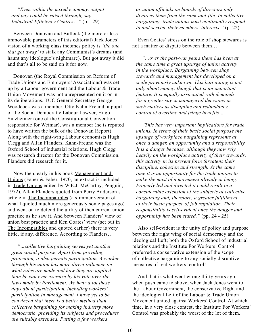*"Even within the mixed economy, output and pay could be raised through, say Industrial Efficiency Centres…"* (p. 129)

Between Donovan and Bullock (the more or less immovable parameters of this editorial) Jack Jones' vision of a working class incomes policy is *'the one that got away'* to stalk any Communist's dreams (and haunt any ideologue's nightmare). But got away it did and that's all to be said on it for now.

Donovan (the Royal Commission on Reform of Trade Unions and Employers' Associations) was set up by a Labour government and the Labour & Trade Union Movement was not unrepresented on it or in its deliberations. TUC General Secretary George Woodcock was a member. Otto Kahn-Freund, a pupil of the Social Democratic Labour Lawyer, Hugo Sinzheimer (one of the Constitutional Convention responsible for Weimar), was a member (he is reputed to have written the bulk of the Donovan Report). Along with the right-wing Labour economists Hugh Clegg and Allan Flanders, Kahn-Freund was the Oxford School of industrial relations. Hugh Clegg was research director for the Donovan Commission. Flanders did research for it.

Now then, early in his book Management and Unions (Faber & Faber, 1970, an extract is included in Trade Unions edited by W.E.J. McCarthy, Penguin, 1972), Allan Flanders quoted from Perry Anderson's article in The Incompatibles (a slimmer version of what I quoted much more generously some pages ago) and went on to defend the utility of then current union practice as he saw it. And between Flanders' view of union best practice and Ken Coates' view (set out in The Incompatibles and quoted earlier) there is very little, if any, difference. According to Flanders…

*"…collective bargaining serves yet another great social purpose. Apart from providing protection, it also permits participation. A worker through his union has more direct influence on what rules are made and how they are applied than he can ever exercise by his vote over the laws made by Parliament. We hear a lot these days about participation, including workers' participation in management. I have yet to be convinced that there is a better method than collective bargaining for making industry more democratic, providing its subjects and procedures are suitably extended. Putting a few workers* 

*or union officials on boards of directors only divorces them from the rank-and-file. In collective bargaining, trade unions must continually respond to and service their members' interests."* (p. 22)

Even Coates' stress on the role of shop stewards is not a matter of dispute between them…

*"…over the post-war years there has been at the same time a great upsurge of union activity in the workplace. Bargaining between shop stewards and management has developed on a scale previously unknown. This bargaining is not only about money, though that is an important feature. It is equally associated with demands for a greater say in managerial decisions in such matters as discipline and redundancy, control of overtime and fringe benefits…*

*"This has very important implications for trade unions. In terms of their basic social purpose the upsurge of workplace bargaining represents at once a danger, an opportunity and a responsibility. It is a danger because, although they now rely heavily on the workplace activity of their stewards, this activity in its present form threatens their discipline, cohesion and strength. At the same time it is an opportunity for the trade unions to make the most of a movement already in being. Properly led and directed it could result in a considerable extension of the subjects of collective bargaining and, therefore, a greater fulfillment of their basic purpose of job regulation. Their responsibility is self-evident once the danger and opportunity has been stated."* (pp. 24 - 25)

Also self-evident is the unity of policy and purpose between the right wing of social democracy and the ideological Left; both the Oxford School of industrial relations and the Institute For Workers' Control preferred a conservative extension of the scope of collective bargaining to any socially disruptive measures of real workers' control!

And that is what went wrong thirty years ago; when push came to shove, when Jack Jones went to the Labour Government, the conservative Right and the ideological Left of the Labour & Trade Union Movement united against Workers' Control. At which time, in a very close contest, the Institute For Workers' Control was probably the worst of the lot of them.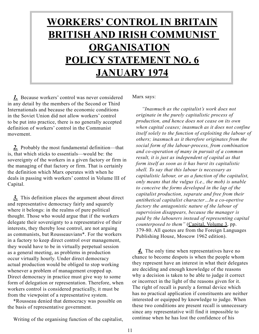# <span id="page-10-0"></span>**Workers' Control In Britain British and Irish Communist Organisation POLICY STATEMENT NO. 6 January 1974**

*1.* Because workers' control was never considered in any detail by the members of the Second or Third Internationals and because the economic conditions in the Soviet Union did not allow workers' control to be put into practice, there is no generally accepted definition of workers' control in the Communist movement.

*2.* Probably the most fundamental definition—that is, that which sticks to essentials—would be: the sovereignty of the workers in a given factory or firm in the managing of that factory or firm. That is certainly the definition which Marx operates with when he deals in passing with workers' control in Volume III of Capital.

*3.* This definition places the argument about direct and representative democracy fairly and squarely where it belongs: in the realms of pure political thought. Those who would argue that if the workers delegate their sovereignty to a representative of their interests, they thereby lose control, are not arguing as communists, but Rousseauvians\*. For the workers in a factory to keep direct control over management, they would have to be in virtually perpetual session as a general meeting, as problems in production occur virtually hourly. Under direct democracy actual production would be obliged to stop working whenever a problem of management cropped up. Direct democracy in practice must give way to some form of delegation or representation. Therefore, when workers control is considered practically, it must be from the viewpoint of a representative system.

\*Rousseau denied that democracy was possible on the basis of representative government.

Writing of the organising function of the capitalist,

Marx says:

*"Inasmuch as the capitalist's work does not originate in the purely capitalistic process of production, and hence does not cease on its own when capital ceases; inasmuch as it does not confine itself solely to the function of exploiting the labour of others; inasmuch as it therefore originates from the social form of the labour-process, from combination and co-operation of many in pursuit of a common result, it is just as independent of capital as that form itself as soon as it has burst its capitalistic shell. To say that this labour is necessary as capitalistic labour, or as a function of the capitalist, only means that the vulgus (i.e., the mob) is unable to conceive the forms developed in the lap of the capitalist production, separate and free from their antithetical capitalist character…In a co-opertive factory the antagonistic nature of the labour of supervision disappears, because the manager is paid by the labourers instead of representing capital counterposed to them"* (Capital, Volume 3, pp. 379-80. All quotes are from the Foreign Languages Publishing House, Moscow 1962 edition).

*4.* The only time when representatives have no chance to become despots is when the people whom they represent have an interest in what their delegates are deciding and enough knowledge of the reasons why a decision is taken to be able to judge it correct or incorrect in the light of the reasons given for it. The right of recall is purely a formal device which has no practical application if constituents are neither interested or equipped by knowledge to judge. When these two conditions are present recall is unnecessary since any representative will find it impossible to continue when he has lost the confidence of his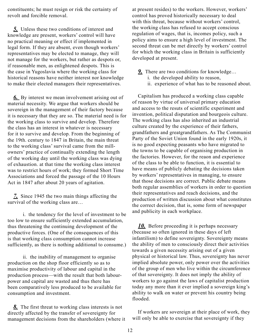constituents; he must resign or risk the certainty of revolt and forcible removal.

*5.* Unless these two conditions of interest and knowledge are present, workers' control will have no practical meaning or effect if implemented in legal form. If they are absent, even though workers' representatives may be elected to manage, they will not manage for the workers, but rather as despots or, if reasonable men, as enlightened despots. This is the case in Yugoslavia where the working class for historical reasons have neither interest nor knowledge to make their elected managers their representatives.

*6.* By interest we mean involvement arising out of material necessity. We argue that workers should be sovereign in the management of their factory because it is necessary that they are so. The material need is for the working class to survive and develop. Therefore the class has an interest in whatever is necessary for it to survive and develop. From the beginning of the 19th. century to 1847 in Britain, the main threat to the working class' survival came from the millowners' practice of continually extending the length of the working day until the working class was dying of exhaustion. at that time the working class interest was to restrict hours of work; they formed Short Time Associations and forced the passage of the 10 Hours Act in 1847 after about 20 years of agitation.

*7.* Since 1945 the two main things affecting the survival of the working class are…

i. the tendency for the level of investment to be too low to ensure sufficiently extended accumulation, thus threatening the continuing development of the productive forces. (One of the consequences of this is that working class consumption cannot increase sufficiently, as there is nothing additional to consume.)

ii. the inability of management to organise production on the shop floor efficiently so as to maximise productivity of labour and capital in the production process—with the result that both labourpower and capital are wasted and thus there has been comparatively less produced to be available for consumption and investment.

*8.* The first threat to working class interests is not directly affected by the transfer of sovereignty for management decisions from the shareholders (where it

at present resides) to the workers. However, workers' control has proved historically necessary to deal with this threat, because without workers' control, the working class has refused to accept conscious regulation of wages, that is, incomes policy, such a policy aims to ensure a high level of investment. The second threat can be met directly by workers' control for which the working class in Britain is sufficiently developed at present.

- *9.* There are two conditions for knowledge…
	- i. the developed ability to reason,
	- ii. experience of what has to be reasoned about.

Capitalism has produced a working class capable of reason by virtue of universal primary education and access to the resuts of scientific experiment and invention, political disputation and bourgeois culture. The working class has also inherited an industrial culture created by the experience of their fathers, grandfathers and greatgrandfathers. As The Communist Party of the Soviet Union found in the early 1920s, it is no good expecting peasants who have migrated to the towns to be capable of organising production in the factories. However, for the reaon and experience of the class to be able to function, it is essential to have means of publicly debating the decisions taken by workers' representatives in managing, to ensure that those decisions are correct. Public debate means both regular assemblies of workers in order to question their representatives and reach decisions, and the production of written discussion about what constitutes the correct decision, that is, some form of newspaper and publicity in each workplace.

*10.* Before proceeding it is perhaps necessary (because so often ignored in these days of left infantilism) to define sovereignty. Sovereignty means the ability of men to consciously direct their activities towards a given necessity arising out of a given physical or historical law. Thus, sovereignty has never implied absolute power, only power over the activities of the group of men who live within the circumference of that sovereignty. It does not imply the ability of workers to go against the laws of capitalist production today any more than it ever implied a sovereign king's ability to walk on water or prevent his country being flooded.

If workers are sovereign at their place of work, they will only be able to exercise that sovereignty if they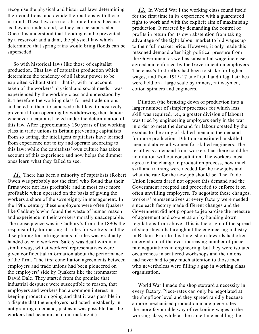recognise the physical and historical laws determining their conditions, and decide their actions with those in mind. These laws are not absolute limits, because as they are understood, so they can be superseded. Once it is understood that flooding can be prevented by a reservoir and a dam, the physical law which determined that spring rains would bring floods can be superseded.

So with historical laws like those of capitalist production. That law of capitalist production which determines the tendency of all labour power to be exploited without stint—that is, with no account taken of the workers' physical and social needs—was experienced by the working class and understood by it. Therefore the working class formed trade unions and acted in them to supersede that law, to positively prevent it from operating by withdrawing their labour whenever a capitalist acted under the determination of this law. After approximately 150 years of the working class in trade unions in Britain preventing capitalists from so acting, the intelligent capitalists have learned from experience not to try and operate according to this law; while the capitalists' own culture has taken account of this experience and now helps the dimmer ones learn what they failed to see.

*11.* There has been a minority of capitalists (Robert Owen was probably not the first) who found that their firms were not less profitable and in most case more profitable when operated on the basis of giving the workers a share of the sovereignty in management. In the 19th. century these employers were often Quakers like Cadbury's who found the waste of human reason and experience in their workers morally unacceptable. The consequence was in Cadbury's from the 1890s the responsibility for making all rules for workers and the disciplining for infringements of rules was gradually handed over to workers. Safety was dealt with in a similar way, whilst workers' representatives were given confidential information about the performance of the firm. (The first conciliation agreements between employers and trade unions had been pioneered on the employers' side by Quakers like the ironmaster David Dale. They started from the premise that industrial desputes were susceptible to reason, that employers and workers had a common interest in keeping production going and that it was possible in a dispute that the employers had acted mistakenly in not granting a demand, just as it was possible that the workers had been mistaken in making it.)

*12.* In World War I the working class found itself for the first time in its experience with a guarenteed right to work and with the explicit aim of maximising production. It reacted by demanding the control of profits in return for its own abstention from taking advantage of the tight labour market to bid wages up to their full market price. However, it only made this reasoned demand after high political pressure from the Government as well as substantial wage increases agreed and enforced by the Government on employers. The class's first reflex had been to strike for higher wages, and from 1915-17 unofficial and illegal strikes were held on a large scale by miners, railwaymen, cotton spinners and engineers.

Dilution (the breaking down of production into a larger number of simpler processes for which less skill was required, i.e., a greater division of labour) was tried by engineering employers early in the war in order to meet the demand for labour created by the exodus to the army of skilled men and the demand for more production. Dilution substituted unskilled men and above all women for skilled engineers. The result was a demand from workers that there could be no dilution without consultation. The workers must agree to the change in production process, how much skill and training were needed for the new jobs and what the rate for the new job should be. The Trade Union leaders dared not oppose this demand and the Government accepted and proceeded to enforce it on often unwilling employers. To negotiate these changes, workers' representatives at every factory were needed since each factory made different changes and the Government did not propose to jeopardise the measure of agreement and co-operation by handing down regulations from above. This is the origin of the spread of shop stewards throughout the engineering industry in Britain. Prior to this time, shop stewards had often emerged out of the ever-increasing number of piecerate negotiations in engineering, but they were isolated occurrences in scattered workshops and the unions had never had to pay much attention to those men who nevertheless were filling a gap in working class organisation.

World War I made the shop steward a necessity in every factory. Piece-rates can only be negotiated at the shopfloor level and they spread rapidly because a more mechanised production made piece-rates the more favourable way of reckoning wages to the working class, while at the same time enabling the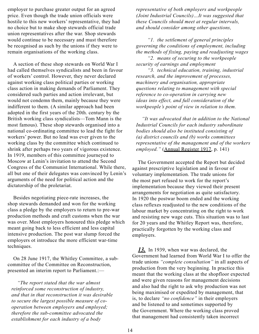employer to purchase greater output for an agreed price. Even though the trade union officials were hostile to this new workers' representative, they had no choice but to make shop stewards official trade union representatives after the war. Shop stewards would continue to be necessary and must therefore be recognised as such by the unions if they were to remain organisations of the working class.

A section of these shop stewards on World War I had called themselves syndicalists and been in favour of workers' control. However, they never declared against working class political parties or working class action in making demands of Parliament. They considered such parties and action irrelevant, but would not condemn them, mainly because they were indifferent to them. (A similar approach had been adopted in the first years of the 20th. century by the British working class syndicalists—Tom Mann is the most famous). These shop stewards organised into a national co-ordinating committee to lead the fight for workers' power. But no lead was ever given to the working class by the committee which continued to shrink after perhaps two years of vigorous existence. In 1919, members of this committee journeyed to Moscow at Lenin's invitation to attend the Second Congress of the Communist International. While there, all but one of their delegates was convinced by Lenin's arguments of the need for political action and the dictatorship of the proletariat.

Besides negotiating piece-rate increases, the shop stewards demanded and won for the working class a pledge by the employers to return to pre-war production methods and craft customs when the war was over. Most employers honoured this pledge which meant going back to less efficient and less capital intensive production. The post war slump forced the employers ot introduce the more efficient war-time techniques.

On 28 June 1917, the Whitley Committee, a subcommittee of the Committee on Reconstruction, presented an interim report to Parliament.:—

*"The report stated that the war almost reinforced some reconstruction of industry, and that in that reconstruction it was desirable to secure the largest possible measure of cooperation between employers and employed; therefore the sub-committee advocated the establishment for each industry of a body* 

*representative of both employers and workpeople (Joint Industrial Councils)…It was suggested that these Councils should meet at regular intervals, and should consider among other questions,*

*"1. the settlement of general principles governing the conditions of employment, including the methods of fixing, paying and readjusting wages*

*"2. means of securing to the workpeople security of earnings and employment*

*"3. technical education, training, industrial research, and the improvement of processes, machinery and organisation, appropriate questions relating to management with special reference to co-operation in carrying new ideas into effect, and full consideration of the workpeople's point of view in relation to them.*

*"It was advocated that in addition to the National Industrial Councils for each industry subordinate bodies should also be instituted consisting of (a) district councils and (b) works committees representative of the management and of the workers employed."* (Annual Register 1917, p. 141)

The Government accepted the Report but decided against prescriptive legislation and in favour of voluntary implementation. The trade unions for the most part refused to work for the report's implementation because they viewed their present arrangements for negotiation as quite satisfactory. In 1920 the postwar boom ended and the working class reflexes readjusted to the new conditions of the labour market by concentrating on the right to work and resisting new wage cuts. This situation was to last for 20 years and the Whitley Report was, therefore, practically forgotten by the working class and employers.

*13.* In 1939, when war was declared, the Government had learned from World War I to offer the trade unions *"complete consultation"* in all aspects of production from the very beginning. In practice this meant that the working class at the shopfloor expected and were given reasons for management decisions and also had the right to ask why production was not being maximised or expedited by management, that is, to declare *"no confidence"* in their employers and be listened to and sometimes supported by the Government. Where the working class proved that management had consistently taken incorrect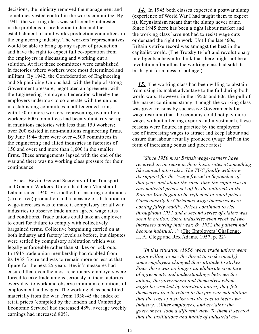decisions, the ministry removed the management and sometimes vested control in the works committee. By 1941, the working class was sufficiently interested in the problems of production to demand the establishment of joint works production committees in the engineering industry. The workers' representatives would be able to bring up any aspect of production and have the right to expect full co-operation from the employers in discussing and working out a solution. At first these committees were established in factories where workers were most determined and militant. By 1942, the Confederation of Engineering and Shipbuilding Unions had, with the help of strong Government pressure, negotiated an agreement with the Engineering Employers Federation whereby the employers undertook to co-operate with the unions in establishing committees in all federated firms with 150 or more workers, representing two million workers; 600 committees had been voluntarily set up in munitions factories with less than 150 workers; over 200 existed in non-munitions engineering firms. By June 1944 there were over 4,500 committees in the engineering and allied industries in factories of 150 and over; and more than 1,600 in the smaller firms. These arrangements lapsed with the end of the war and there was no working class pressure for their continuance.

Ernest Bevin, General Secretary of the Transport and General Workers' Union, had been Minister of Labour since 1940. His method of ensuring continuous (strike-free) production and a measure of abstention in wage-increases was to make it compulsory for all war industries to observe trade union agreed wage rates and conditions. Trade unions could take an employer to court for failure to comply with collectively bargained terms. Collective bargaining carried on at both industry and factory levels as before, but disputes were settled by compulsory arbitration which was legally enforceable rather than strikes or lock-outs. In 1945 trade union membership had doubled from its 1938 figure and was to remain more or less at that figure for the next 25 years. Bevin's measures had ensured that even the most reactionary employers were forced to take trade unions seriously in their factories every day, to work and observe minimum conditions of employment and wages. The working class benefitted materially from the war. From 1938-45 the index of retail prices (compiled by the london and Cambridge Economic Service) had increased 48%, average weekly earnings had increased 80%.

*14.* In 1945 both classes expected a postwar slump (experience of World War I had taught them to expect it). Keynsianism meant that the slump never came. Since 1945 there has been a tight labour market and the working class have not had to resist wage cuts or demand the right to work. Until the late '60s, Britain's strike record was amongst the best in the capitalist world. (The Trotskyite left and revolutionary intelligentsia began to think that there might not be a revolution after all as the working class had sold its birthright for a mess of pottage.)

*15.* The working class had been willing to abstain from using its maket advantage to the full during both world wars. However, in the 1950s and 60s, the pull of the market continued strong. Though the working class was given reasons by successive Governments for wage restraint (that the economy could not pay more wages without affecting exports and investment), these reasons were flouted in practice by the employers' use of increasing wages to attract and keep labour and ensure that labour actually produced (wage drift in the form of increasing bonus and piece rates).

*"Since 1950 most British wage-earners have received an increase in their basic rates at something like annual intervals…The TUC finally withdrew its support for the 'wage freeze' in September of that year, and about the same time the rapid rise in raw material prices set off by the outbreak of the Korean War began to be reflected in retail prices. Consequently by Christmas wage increases were coming fairly readily. Prices continued to rise throughtout 1951 and a second series of claims was soon in motion. Some industries even received two increases during that year. By 1952 the pattern had become habitual...*" (The Employers' Challenge, H. A. Clegg and Rex Adams, 1957, p. 22)

*"In this situation (1956, when trade unions were again willing to use the threat to strike openly) some employers changed their attitude to strikes. Since there was no longer an elaborate structure of agreements and understandings between the unions, the government and themselves which might be wrecked by industrial unrest, they felt themselves free to return to the pre-war calculation that the cost of a strike was the cost to their own industry…Other employers, and certainly the government, took a different view. To them it seemed that the institutions and habits of industrial co-*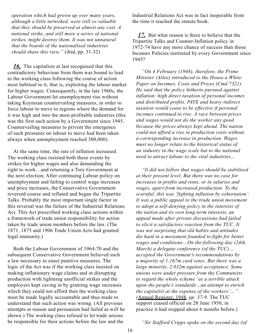*operation which had grown up over many years, although a little tarnished, were still so valuable that they should be preserved at almost any cost. A national strike, and still more a series of national strikes, might destroy them. It was not unnatural that the boards of the nationalised industries should share this view."* (ibid, pp. 31-32)

**16.** The capitalists at last recognised that this contradictory behaviour from them was bound to lead to the working class following the course of action most habitual to it, that is, exploiting the labour market for higher wages. Consequently, in the late 1960s, the Labour Government let unemployment rise without taking Keynsian countervailing measures, in order to force labour to move to regions where the demand for it was high and into the most profitable industries (this was the first such action by a Government since 1945. Countervailing measures to privent the emergence of such pressures on labour to move had been taken always when unemployment reached 300,000).

At the same time, the rate of inflation increased. The working class resisted both these events by strikes for higher wages and also demanding the right to work…and returning a Tory Government at the next election. After continuing Labour policy on unemployment and failing to control wage increases and price increases, the Conservative Government reversed course and reflated and began the Tripartite Talks. Probably the most important single factor in this reversal was the failure of the Industrial Relations Act. This Act prescribed working class actions within a framework of trade union responsibility for action taken by trade union members before the law. (The 1871, 1875 and 1906 Trade Union Acts had granted legal immunity.)

Both the Labour Government of 1964-70 and the subsequent Conservative Government believed such a law necessary to enact punitive measures. The logic of the Act was if the working class insisted on making inflationary wage claims and in disrupting production with lightning unofficial strikes and the employers kept caving in by granting wage increases which they could not afford then the working class must be made legally accountable and thus made to understand that such action was wrong. (All previous attempts at reason and persuasion had failed as will be shown.) The working class refused to let trade unions be responsible for their actions before the law and the

Industrial Relations Act was in fact inoperable from the time it reached the statute book.

*17.* But what reason is there to believe that the Tripartite Talks and Counter-Inflation policy in 1972-74 have any more chance of success than those Incomes Policies instituted by every Government since 1945?

*"On 4 February (1948), therefore, the Prime Minister (Atlee) introduced to the House a White Paper on Incomes, Costs and Prices (Cmd 7321). He said that the policy hitherto pursued against inflation: high direct taxation of personal incomes and distributed profits, PAYE and heavy indirect taxation would cease to be effective if personal incomes continued to rise. A race between prices and wages would not do the worker any good because the prices always kept ahead. The nation could not afford a rise in production costs without a corresponding increase in production. Wages must no longer relate to the historical status of an industry in the wage scale but to the national need to attract labour to the vital industries…*

*"It did not follow that wages should be stabilised at their present level. But there was no case for increases in profits and rents, or in salaries and wages, apart from increased production. To the scornful, this was 'fighting inflation by exhortation'. It was a public appeal to the trade union movement to adopt a self-denying policy in the interests of the nation and its own long-term interests, an appeal made after private discussions had failed to elicit a satisfactory reaction from the TUC. It was not surprising that old habits and attitudes die hard in a movement founded to fight for better wages and conditions…On the following day (24th. March) a delegate conference (of the TUC)… accepted the Government's recommendations by a majority of 1.167m card votes. But there was a large minority, 2.032m against acceptance. Some unions were under pressure from the Communists to regard the whole scheme 'as a terrible attack upon the people's standards…an attempt to enrich the capitalist at the expense of the workers'…" (*Annual Register, 1948*, pp. 37-9.* The TUC support ceased official on 28 June 1950, in practice it had stopped about 6 months before.)

*"Sir Stafford Cripps spoke on the second day (of*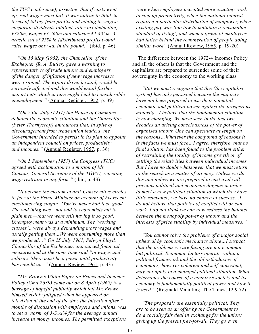*the TUC conference), asserting that if costs went up, real wages must fall. It was untrue to think in terms of taking from profits and adding to wages; corporate dividends totalled, after tax deduction, £320m, wages £3,260m and salaries £1,435m. A drastic cut of 25% in (distributed) profits would raise wages only 4d. in the pound."* (ibid, p. 46)

*"On 15 May (1952) the Chancellor of the Exchequer (R. A. Butler) gave a warning to representatives of trade unions and employers of the danger of inflation if new wage increases were granted. The export drive, he said, would be seriously affected and this would entail further import cuts which in turn might lead to considerable unemployment."* (Annual Register, 1952, p. 39)

*"On 25th. July (1957) the House of Commons debated the economic situation and the Chancellor (Peter Thornycroft) announced that, in spite of discouragement from trade union leaders, the Government intended to persist in its plan to appoint an independent council on prices, productivity and incomes."* (Annual Register. 1957, p. 36)

*"On 5 September (1957) the Congress (TUC) agreed with acclamation to a motion of Mr. Cousins, General Secretary of the TGWU, rejecting wage restraint in any form."* (ibid, p. 43)

*"It became the custom in anti-Conservative circles to jeer at the Prime Minister on account of his recent electioneering slogan: 'You've never had it so good'. The odd thing was—not odd to economists but to plain men—that we were still having it so good. Unemployment was at a minimum. The 'working classes'…were always demanding more wages and usually getting them…We were consuming more than we produced…" On 25 July 1961, Selwyn Lloyd, Chancellor of the Exchequer, announced financial measures and at the same time said "in wages and salaries 'there must be a pause until productivity*  has caught up'." (Annual Review, 1961, p. 33)

*"Mr. Brown's White Paper on Prices and Incomes Policy (Cmd 2639) came out on 8 April (1965) to a barrage of hopeful publicity which left Mr. Brown himself visibly fatigued when he appeared on television at the end of the day. the intention after 5 months of discussion with employers and unions, was to set a 'norm' of 3-3*1/2*% for the average annual increase in money incomes. The permitted exceptions* 

*were when employees accepted more exacting work to step up productivity, when the national interest required a particular distribution of manpower, when existing pay was 'too low to maintain a reasonable standard of living', and when a group of employees had fallen behind the remuneration of people doing similar work"* (Annual Review, 1965, p. 19-20)*.*

The difference between the 1972-4 Incomes Policy and all the others is that the Government and the capitalists are prepared to surrender some of their sovereignty in the economy to the working class.

*"But we must recognise that this (the capitalist system) has only persisted because the majority have not been prepared to use their potential economic and political power against the prosperous minority…I believe that the fundamental situation is now changing. We have seen in the last two decades an arising consciousness of the power of organised labour. One can speculate at length on the reasons…Whatever the compound of reasons it is the facts we must face…I agree, therefore, that no final solution has been found to the problem either of restraining the totality of income growth or of settling the relativities between induvidual incomes. But I have no doubt whatsoever that we must return to the search as a matter of urgency. Unless we do this and unless we are prepared to cast aside all previous political and economic dogmas in order to meet a new political situation to which they have little relevance, we have no chance of success…I do not believe that policies of conflict will or can work. I do not think we can now redress the balance between the monopoly power of labour and the interests of price stability by individual measures."*

*"You cannot solve the problems of a major social upheaval by economic mechanics alone…I suspect that the problems we are facing are not economic but political. Economic factors operate within a political framework and the old orthodoxies of economics, however coherent and self-consistent, may not apply in a changed political situation. What determines the course of a country's society and its economy is fundamentally political power and how it is used."* (Reginald Maudling, The Times, 12.9.72)

*"The proposals are essentially political. They are to be seen as an offer by the Government to do a socially fair deal in exchange for the unions giving up the present free-for-all. They go even*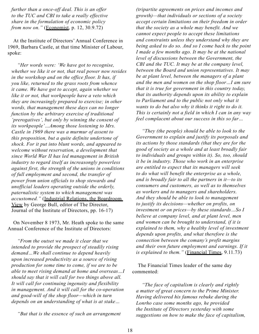*further than a once-off deal. This is an offer to the TUC and CBI to take a really effective share in the formulation of economic policy from now on.*" (*Economist, p. 12, 30.9.72*)

At the Institute of Directors' Annual Conference in 1969, Barbara Castle, at that time Minister of Labour, spoke:

*"Her words were: 'We have got to recognise, whether we like it or not, that real power now resides in the workshop and on the office floor. It has, if you like, returned to the grass roots from whence it came. We have got to accept, again whether we like it or not, that workpeople have a veto which they are increasingly prepared to exercise; in other words, that management these days can no longer function by the arbitrary exercise of traditional 'prerogatives', but only by winning the consent of its workpeople'…Among those lostening to Mrs. Castle in 1969 there was a murmur of assent to this proposition, but a quite definite undertone of shock. For it put into blunt words, and appeared to welcome without reservation, a development that since World War II has led management in British industry to regard itself as increasongly powerless against first, the strength of the unions in conditions of full employment and second, the transfer of power from union officials to shop stewards and unofficial leaders operating outside the orderly, paternalistic system to which management was accustomed."* (Industrial Relations, the Boardroom View by George Bull, editor of The Director, Journal of the Institute of Directors, pp. 16-17)

On November 8 1973, Mr. Heath spoke to the same Annual Conference of the Institute of Directors:

*"From the outset we made it clear that we intended to provide the prospect of steadily rising demand…We shall continue to depend heavily upon increased productivity as a source of rising production for some time to come, if we are to be able to meet rising demand at home and overseas…I should say that it will call for two things above all. It will call for continuing ingenuity and flexibility in management. And it will call for the co-operation and good-will of the shop floor—which in turn depends on an understanding of what is at stake…*

*"But that is the essence of such an arrangement* 

*(tripartite agreements on prices and incomes and growth)—that individuals or sections of a society accept certain limitations on their freedom in order that the society as a whole may benefit. And we cannot expect people to accept these limitations and constraints unless they understand why they are being asked to do so. And so I come back to the point I made a few months ago. It may be at the national level of discussions between the Government, the CBI and the TUC. It may be at the company level, between the Board and union representatives. It may be at plant level, between the managers of a plant and the men and women on the shop floor…I am sure that it is true for government in this country today, that its authority depends upon its ability to explain to Parliament and to the public not only what it wants to do but also why it thinks it right to do it. This is certainly not a field in which I can in any way feel complacent about our success in this so far…*

*"They (the people) should be able to look to the Government to explain and justify its porposals and its actions by those standards (that they are for the good of society as a whole and at least broadly fair to individuals and groups within it). So, too, should it be in industry. Those who work in an enterprise are entitled to expect that its managers will seek to do what will benefit the enterprise as a whole, and is broadly fair to all the partners in it—to its consumers and customers, as well as to themselves as workers and to managers and shareholders. And they should be able to look to management to justify its decisions—whether on profits, on investment or on prices—by these standards…So I believe at company level, and at plant level, men and women can be brought to understand, if it is explained to them, why a healthy level of investment depends upon profits, and what therefore is the connection between the comany's profit margins and their own future employment and earnings. If it is explained to them."* (Financial Times, 9.11.73)

The Financial Times leader of the same day commented:

*"The face of capitalism is clearly and rightly a matter of great concern to the Prime Minister. Having delivered his famous rebuke during the Lonrho case some months ago, he provided the Institute of Directors yesterday with some suggestions on how to make the face of capitalism,*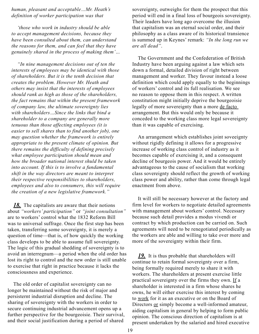*human, pleasant and acceptable…Mr. Heath's definition of worker participation was that*

*'those who work in industry should be able to accept management decisions, because they have been consulted about them, can understand the reasons for them, and can feel that they have genuinely shared in the process of making them'…*

*"In nine management decisions out of ten the interests of employees may be identical with those of shareholders. But it is the tenth decision that creates the problem. However Mr. Heath and others may insist that the interests of employees should rank as high as those of the shareholders, the fact remains that within the present framework of company law, the ultimate sovereignty lies with shareholders…Since the links that bind a shareholder to a company are generally more tenuous than those affecting employees (it is easier to sell shares than to find another job), one may question whether the framework is entirely appropriate to the present climate of opinion. But there remains the difficulty of defining precisely what employee participation should mean and how the broader national interest shuld be taken into account. If this is to involve a fundamental shift in the way directors are meant to interpret their respective responsibilities to shareholders, employees and also to consumers, this will require the creation of a new legislative framework."*

**18.** The capitalists are aware that their notions about *"workers' participation"* or *"joint consultation"*  are to workers' control what the 1832 Reform Bill was to universal suffrage. Once the first step has been taken, transferring some sovereignty, it is merely a question of time—that is, of how quickly the working class develops to be able to assume full sovereignty. The logic of this gradual shedding of sovereignty is to avoid an interregnum—a period when the old order has lost its right to control and the new order is still unable to exercise that right in practice because it lacks the consciousness and experience.

The old order of capitalist sovereignty can no longer be maintained without the risk of major and persisternt industrial disruption and decline. The sharing of sovereignty with the workers in order to secure continuing industrial advancement opens up a further perspective for the bourgeoisie. Their survival, and their social justification during a period of shared

sovereignty, outweighs for them the prospect that this period will end in a final loss of bourgeois sovereignty. Their leaders have long ago overcome the illusion that capitalism was an eternal social order, and their philosophy as a class aware of its historical transience is summed up in Keynes' remark: *"In the long run we are all dead"*.

The Government and the Confederation of British Industry have been arguing against a law which sets down a formal, detailed division of right between management and worker. They favour instead a loose definition which could apply equally to the beginnings of workers' control and its full realisation. We see no reason to oppose them in this respect. A written constitution might initially deprive the bourgeoisie legally of more sovereignty than a more de facto arrangement. But this would only be because it conceded to the working class more legal sovereignty than it was capable of exercising.

An arrangement which establishes joint soveeignty without rigidly defining it allows for a progressive increase of working class control of industry as it becomes capable of exercising it, and a consequent decline of bourgeois power. And it would be entirely advantageous to the cause of socialism that working class sovereignty should reflect the growth of working class power and ability, rather than come through legal enactment from above.

It will still be necessary however at the factory and firm level for workers to negotiate detailed agreements with management about workers' control. Necessary because such detail provides a modus vivendi or contract by which production can be carried on. Such agreements will need to be renegotiated periodically as the workers are able and willing to take over more and more of the sovereignty within their firm.

*19.* It is thus probable that shareholders will continue to retain formal sovereignty over a firm, being formally required merely to share it with workers. The shareholders at present exercise little practical sovereignty over the firms they own. If a shareholder is interested in a firm whose shares he owns, he will either exercise this interest by coming to work for it as an executive or on the Board of Directors or simply become a well-informed amateur, aiding capitalism in general by helping to form public opinion. The conscious direction of capitalism is at present undertaken by the salaried and hired executive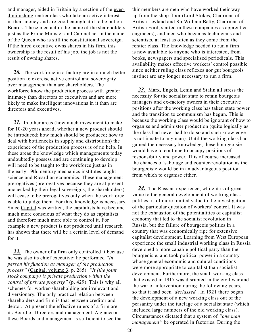and manager, aided in Britain by a section of the everdiminishing rentier class who take an active interest in their money and are good enough at it to be put on Boards. These men act in the name of the shareholders just as the Prime Minister and Cabinet act in the name of the Queen who is still the constitutional sovereign. If the hired executive owns shares in his firm, this ownership is the result of his job, the job is not the result of owning shares.

*20.* The workforce in a factory are in a much better position to exercise active control and sovereignty over management than are shareholders. The workforce know the production process with greater intimacy than directors or executives and are more likely to make intelligent innovations in it than are directors and executives.

*21.* In other areas (how much investment to make for 10-20 years ahead; whether a new product should be introduced; how much should be produced; how to deal with bottlenecks in supply and distribution) the experience of the production process is of no help. In these areas the knowledge which managements today undoubtedly possess and are continuing to develop will need to be taught to the workforce just as in the early 19th. century mechanics institutes taught science and Ricardian economics. These management prerogatives (prerogatives because they are at present unchecked by their legal sovereigns, the shareholders) will cease to be prerogatives only when the workforce is able to judge them. For this, knowledge is necessary. Since Capital was written, the capitalists have become much more conscious of what they do as capitalists and therefore much more able to control it. For example a new product is not produced until research has shown that there will be a certain level of demand for it.

*22.* The owner of a firm only controlled it because he was also its chief executive: he performed *"in person his function as manager of the production process"* (Capital, volume 3, p. 285). *"It (the joint stock company) is private production withut the control of private property"* (p. 429). This is why all schemes for worker-shareholding are irrelevant and diversionary. The only practical relation between shareholders and firm is that between creditor and debtor. At present the effective rulers of a firm are its Board of Directors and management. A glance at these Boards and management is sufficient to see that

thir members are men who have worked their way up from the shop floor (Lord Stokes, Chairman of British Leyland and Sir William Batty, Chairman of British Ford, started in these companies as apprentice engineers), and men who began as technicians and scientists, at least as often as they come from the rentier class. The knowledge needed to run a firm is now available to anyone who is interested, from books, newspapers and specialised periodicals. This availability makes effective workers' control possible since neither ruling class reflexes nor gut bourgeois instinct are any longer necessary to run a firm.

*23.* Marx, Engels, Lenin and Stalin all stress the necessity for the socialist state to retain bourgeois managers and ex-factory owners in their executive positions after the working class has taken state power and the transition to communism has begun. This is because the working class would be ignorant of how to organise and administer production (quite logically as the class had never had to do so and such knowledge is not innate to any man). Until the working class had gained the necessary knowledge, these bourgeoisie would have to continue to occupy positions of responsibility and power. This of course increased the chances of sabotage and counter-revolution as the bourgeoisie would be in an advantageous position from which to organise either.

*24.* The Russian experience, while it is of great value to the general development of working class politics, is of more limited value to the investigation of the particular quesiton of workers' control. It was not the exhaustion of the potentialities of capitalist economy that led to the socialist revolution in Russia, but the failure of bourgeois politics in a country that was economically ripe for extensive capitalist development. Learning from West European experience the small industrial working class in Russia developed a more capable political party than the bourgeoisie, and took political power in a country whose general ecomomic and culural conditions were more appropriate to capitalist than socialist development. Furthermore, the small working class that existed in 1917 was disrupted in the civil war and the war of intervention during the following years, so that it had been *'declassed'*. In 1921 there began the development of a new working class out of the peasantry under the tutelage of a socialist state (which included large numbers of the old working class). Circumstances dictated that a system of *"one man management"* be operated in factories. During the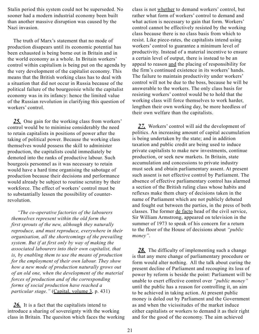Stalin period this system could not be superseded. No sooner had a modern industrial economy been built than another massive disruption was caused by the Nazi invasion.

The truth of Marx's statement that no mode of production disapears until its economic potential has been exhausted is being borne out in Britain and in the world economy as a whole. In Britain workers' control within capitalism is being put on the agenda by the very development of the capitalist economy. This means that the British working class has to deal with a situation that did not occur in Russia because of the political failure of the bourgeoisie while the capitalist economy was in its infancy: hence the limited value of the Russian revolution in clarifying this question of workers' control.

*25.* One gain for the working class from workers' control would be to minimise considerably the need to retain capitalists in positions of power after the taking of political power. Because the working class themselves would possess the skill to administer production, the capitalists could immediately be demoted into the ranks of productive labour. Such bourgeois personnel as it was necessary to retain would have a hard time organising the sabotage of production because their decisions and performance would already be subject to routine scrutiny by their workforce. The effect of workers' control must be to substantially lessen the possibility of counterrevolution.

*"The co-operative factories of the labourers themselves represent within the old form the first sprouts of the new, although they naturally reproduce, and must reproduce, everywhere in their organisation, all the shortcomings of the prevailing system. But if at first only by way of making the associated labourers into their own capitalist, that is, by enabling them to use the means of production for the employment of their own labour. They show how a new mode of production naturally grows out of an old one, when the development of the material forces of production and of the corresponding forms of social production have reached a particular stage."* (Capital, volume 3, p. 431)

26. It is a fact that the capitalists intend to introduce a sharing of sovereignty with the working class in Britain. The quesiton which faces the working class is not whether to demand workers' control, but rather what form of workers' control to demand and what action is necessary to gain that form. Workers' control cannot be effectively resisted by the working class because there is no class basis from which to resist. Like piece-rates, the capitalists intend using workers' control to guarantee a minimum level of productivity. Instead of a material incentive to ensure a certain level of output, there is instead to be an appeal to reason and the placing of responsibility for the firm's continued existence in its workers' hands. The failure to maintain productivity under workers' control will not be due to the boss, because he will be answerable to the workers. The only class basis for resisting workers' control would be to hold that the working class will force themselves to work harder, lengthen their own working day, be more heedless of their own welfare than the capitalists.

*27.* Workers' control will aid the development of politics. An increasing amount of capital accumulation is being undertaken by the state; and in addition taxation and public credit are being used to induce private capitalists to make new investments, continue production, or seek new markets. In Britain, state accumulation and concessions to private industry must seek and obtain parliamentary assent. At present such assent is not effective control by Parliament. The absence of effective parliamentary control has alarmed a section of the British ruling class whose habits and reflexes make them chary of decisions taken in the name of Parliament which are not publicly debated and fought out between the parties, in the press of both classes. The former de facto head of the civil service, Sir William Armstrong, appeared on television in the summer of 1973 to speak of his concern for a return to the floor of the House of decisions about *"public money"*.

*28.* The difficulty of implementing such a change is that any mere change of parliamentary procedure or form would alter nothing. All the talk about curing the present decline of Parliament and recouping its loss of power by reform is beside the point: Parliament will be unable to exert effective control over *"public money"* until the public has a reason for controlling it, an aim to be achieved in taking action. At present public money is doled out by Parliament and the Government as and when the vicissitudes of the market induce either capitalists or workers to demand it as their right and for the good of the economy. The aim achieved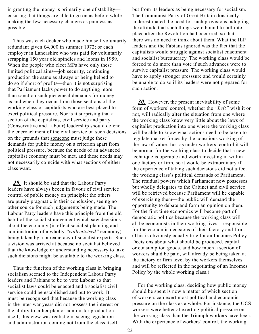in granting the money is primarily one of stability ensuring that things are able to go on as before while making the few necessary changes as painless as possible.

Thus was each docker who made himself voluntarily redundant given £4,000 in summer 1972; or each employer in Lancashire who was paid for voluntarily scrapping 150 year old spindles and looms in 1959. When the people who elect MPs have only these limited political aims—job security, continuing production the same as always or being helped to do so if short of profits—then it is not surprising that Parliament lacks power to do anything more than sanction such piecemeal demands for money as and when they occur from those sections of the working class or capitalists who are best placed to exert political pressure. Nor is it surprising that a section of the capitalists, civil service and party (Conservative and Labour) leadership should defend the encroachment of the civil service on such decisions on the grounds that someone must judge these demands for public money on a criterion apart from political pressure, because the needs of an advanced capitalist economy must be met, and these needs may not necessarily coincide with what sections of either class want.

*29.* It should be said that the Labour Party leaders have always beeen in favour of civil service control of public money on principle; the others are purely pragmatic in their conclusion, seeing no other source for such judgements being made. The Labour Party leaders have this principle from the old habit of the socialist movement which saw decisions about the economy (in effect socialist planning and administration of a wholly *"collectivised"* economy) being taken by a bureaucracy of socialist experts. Such a vision was arrived at because no socialist believed that the knowledge or understanding necessary to take such dicisions might be available to the working class.

Thus the funciton of the working class in bringing socialism seemed to the Independent Labour Party leaders and Fabians to be to vote Labour so that socialist laws could be enacted and a socialist civil service could be established and put to work. It must be recognised that because the working class in the inter-war years did not possess the interest or the ability to either plan or administer production itself, this view was realistic in seeing legislation and administration coming not from the class itself

but from its leaders as being necessary for socialism. The Communist Party of Great Britain drastically underestimated the need for such provisions, adopting the attitude that such things were bound to fall into place after the Revolution had occurred, so that there was no need to think about them. What the ILP leaders and the Fabians ignored was the fact that the capitalists would struggle against socialist enactment and socialist bureaucracy. The working class would be forced to do more than vote if such advances were to survive capitalist pressure. The working class would have to apply stronger presssure and would certainly be unable to do so if its leaders were not prepared for such action.

*30.* However, the present inevitability of some form of workers' control, whether the *"Left"* wish it or not, will radically alter the situation from one where the working class know very little about the laws of capitalist production into one where the working class will be able to know what actions need to be taken to regulate market forces by the conscious working of the law of value. Just as under workers' control it will be normal for the working class to decide that a new technique is operable and worth investing in within one factory or firm, so it would be extraordinary if the experience of taking such decisions did not affect the working class's political demands of Parliament. The residual powers which Parliament now possesses but wholly delegates to the Cabinet and civil service will be retrieved because Parliament will be capable of exercising them—the public will demand the opportunity to debate and form an opinion on them. For the first time economics will become part of democratic politics because the working class will all be economists in their working lives—responsible for the economic decisions of their factory and firm. (This is obviously equally true for an Incomes Policy. Decisions about what should be produced, capital or consumption goods, and how much a section of workers shuld be paid, will already be being taken at the factory or firm level by the workers themselves and will be reflected in the negotiating of an Incomes Policy by the whole working class.)

For the working class, deciding how public money should be spent is now a matter of which section of workers can exert most political and economic pressure on the class as a whole. For instance, the UCS workers were better at exerting political pressure on the working class than the Triumph workers have been. With the experience of workers' control, the working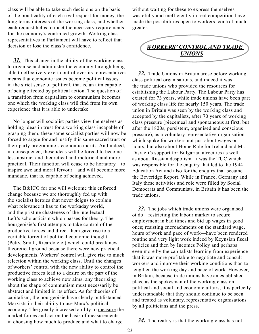class will be able to take such decisions on the basis of the practicality of each rival request for money, the long terms interests of the working class, and whether each request helps to meet the necessary requirements for the economy's continued growth. Working class representatives in Parliament will have to reflect that decision or lose the class's confidence.

*31.* This change in the ability of the working class to organise and administer the economy through being able to effectively exert control over its representatives means that economic issues become political issues in the strict sense of political, that is, an aim capable of being effected by political action. The question of a transition from capitalism to communism becomes one which the working class will find from its own experience that it is able to undertake.

No longer will socialist parties view themselves as holding ideas in trust for a working class incapable of grasping them; these same socialist parties will now be forced to argue for and justify this same sacred trust on their party programme's economic merits. And indeed, in consequence, these ideas will be forced to become less abstract and theoretical and rhetorical and more practical. Their function will cease to be hortatory—to inspire awe and moral fervour—and will become more mundane, that is, capable of being achieved.

The B&ICO for one will welcome this enforced change because we are thoroughly fed up with the socialist heroics that never deigns to explain what relevance it has to the workaday world, and the pristine chasteness of the intellectual Left's scholasticism which passes for theory. The bourgeoisie's first attempts to take control of the productive forces and direct them gave rise to a veritable torrent of political economic thought (Petty, Smith, Ricardo etc.) which could break new theoretical ground because there were new practical developments. Workers' control will give rise to much relection within the working class. Until the changes of workers' control with the new ability to control the productive forces lead to a desire on the part of the working class to achieve new aims, any theorising about the shape of communism must necessarily be abstract and limited in its effect. As for theories of capitalism, the bourgeoisie have clearly outdistanced Marxists in their ability to use Marx's political economy. The greatly increased ability to measure the market forces and act on the basis of measurements in choosing how much to produce and what to charge

without waiting for these to express themselves wastefully and inefficiently in real competition have made the possibilities open to workers' control much greater.



*32.* Trade Unions in Britain arose before working class political organisations, and indeed it was the trade unions who provided the resources for establishing the Labour Party. The Labour Party has existed for 73 years, while trade unions have been part of working class life for nearly 150 years. The trade union in Britain was seen by the working class and accepted by the capitalists, after 70 years of working class pressure (piecemeal and spontaneous at first, but after the 1820s, persistent, organised and conscious pressure), as a voluntary representative organisation which spoke for workers not just about wages or hours, but also about Home Rule for Ireland and Mr. Disraeli's support for Bulgarian atrocities as well as about Russian despotism. It was the TUC which was responsible for the enquiry that led to the 1944 Education Act and also for the enquiry that became the Beveridge Report. While in France, Germany and Italy these activities and role were filled by Social Democrats and Communists, in Britain it has been the trade unions.

*33.* The jobs which trade unions were organised ot do—restricting the labour market to secure employment in bad times and bid up wages in good ones; resisting encroachments on the standard wage, hours of work and pace of work—have been rendered routine and very light work indeed by Keynsian fiscal policies and then by Incomes Policy and perhaps even more by the capitalists learning from experience that it was more profitable to negotiate and consult workers and improve their working conditions than to lengthen the working day and pace of work. However, in Britain, because trade unions have an established place as the spokesman of the working class on political and social and economic affairs, it is perfectly understandable that they should continue to be seen and treated as voluntary, representative organisations by all politicians and the press.

*34.* The reality is that the working class has not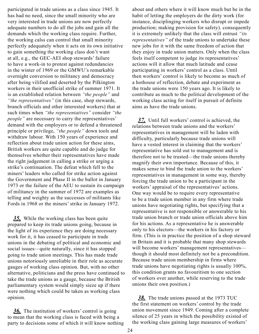participated in trade unions as a class since 1945. It has had no need, since the small minority who are very interested in trade unions are now perfectly adequate numbers to do all the jobs and gain all the demands which the working class require. Further, the working calss can control that small minority perfectly adequately when it acts on its own initiative to gain something the working class don't want at all, e.g., the GEC-AEI shop stewards' failure to have a work-in to protest against redundancies in the winter of 1969 or the GMWU's remarkable overnight conversion to militancy and democracy after being vilified and deserted by the Pilkington workers in their unofficial strike of summer 1971. It is an extablished relation between *"the people"* and *"the representatives"* (in this case, shop stewards, branch officials and other interested workers) that at such times when *"the representatives"* consider *"the people*" are necessary to carry the representatives' demand with the employers or to defend a threatened principle or privilege, *"the people"* down tools and withdraw labour. With 150 years of experience and reflection about trade union action for these aims, British workers are quite capable and do judge for themselves whether their representatives have made the right judgement in calling a strike or urging a strike's continuation. The defeat which fell to the miners' leaders who called for strike action against the Government and Phase II in the ballot in January 1973 or the failure of the AEU to sustain its campaign of militancy in the summer of 1972 are examples as telling and weighty as the successes of militants like Fords in 1968 or the miners' strike in January 1972.

*35.* While the working class has been quite prepared to keep its trade unions going, because in the light of its experience they are doing necessary work for it, it has ceased to participate in trade unions in the debating of political and economic and social issues—quite naturally, since it has stopped going to trade union meetings. This has made trade unions notoriously unreliable in their role as accurate gauges of working class opinion. But, with no other alternative, politicians and the press have continued to take the trade unions as a gauge, because the British parliamentary system would simply sieze up if there were nothing which could be taken as working class opinion.

*36.* The institution of workers' control is going to mean that the working class is faced with being a party to decisions some of which it will know nothing about and others where it will know much but be in the habit of letting the employers do the dirty work (for instance, disciplinging workers who disrupt or impede production; making provision for safety). consequently it is extremely unlikely that the class will entrust *"its representatives"* of the trade unions to undertake these new jobs for it with the same freedom of action that they enjoy in trade union matters. Only when the class feels itself competent to judge its representatives' actions will it allow that much latitude and cease participating in workers' control as a class. Until then workers' control is likely to become as much of a hothouse of reflection, debate and experiment as the trade unions were 150 years ago. It is likely to contribute as much to the political development of the working class acting for itself in pursuit of definite aims as have the trade unions.

*37.* Until full workers' control is achieved, the relations between trade unions and the workers' representatives in management will be laden with difficulty, particularly because trade unions will have a vested interest in claiming that the workers' representative has sold out to management and is therefore not to be trusted—the trade unions thereby magnify their own importance. Because of this, it makes sense to bind the trade union to the workers' representatives in management in some way, thereby forcing the trade union to be a participant in the workers' appraisal of the representatives' actions. One way would be to require every representative to be a trade union member in any firm where trade unions have negotiating rights, but specifying that a representative is not responsible or answerable to his trade union branch or trade union officials above him for his actions. As a representative he is answerable only to his electors—the workers in his factory or firm. (This is in practice the position of a shop steward in Britain and it is probable that many shop stewards will become workers' management representatives though it should most definitely not be a precondition. Because trade union membership in firms where trade unions have negotiating rights is usually 100%, this condition grants no favouritism to one section of workers over another, while reserving to the trade unions their own position.)

*38.* The trade unions passed at the 1973 TUC the first statement on workers' control by the trade union movement since 1949. Coming after a complete silence of 25 years in which the possibility existed of the working class gaining large measures of workers'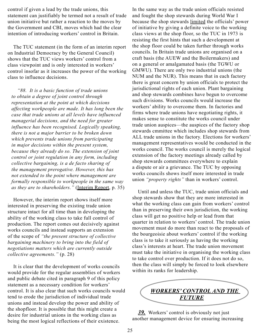control if given a lead by the trade unions, this statement can justifiably be termed not a result of trade union initiative but rather a reaction to the moves by the Government and CBI, moves which had the clear intention of introducing workers' control in Britain.

The TUC statement (in the form of an interim report on Industrial Democracy by the General Council) shows that the TUC views workers' control from a class viewpoint and is only interested in workers' control insofar as it increases the power of the working class to influence decisions.

*"88. It is a basic function of trade unions to obtain a degree of joint control through representation at the point at which decisions affecting workpeople are made. It has long been the case that trade unions at all levels have influenced managerial decisions, and the need for greater influence has been recognised. Logically speaking, there is not a major barrier to be broken down which prevents trade unions from participating in major decisions within the present system, because they already do so. The extension of joint control or joint regulation in any form, including collective bargaining, is a de facto sharing of the management prerogative. However, this has not extended to the point where management are formally responsible to workpeople in the same way as they are to shareholders."* (Interim Report, p. 35)

However, the interim report shows itself more interested in preserving the existing trade union structure intact for all time than in developing the ability of the working class to take full control of production. The report comes out decisively against works councils and instead supports an extension of the scope of *"the present structure of collective bargaining machinery to bring into the field of negotiations matters which are currently outside collective agreements."* (p. 28)

It is clear that the development of works councils would provide for the regular assemblies of workers and public debate cited in paragraph 9 of this policy statement as a necessary condition for workers' control. It is also clear that such works councils would tend to erode the jurisdiction of individual trade unions and instead develop the power and ability of the shopfloor. It is possible that this might create a desire for industrial unions in the working class as being the most logical reflections of their existence.

In the same way as the trade union officials resisted and fought the shop stewards during World War I because the shop stewards limited the officials' power of initiative by giving a definite voice to the working class views at the shop floor, so the TUC in 1973 is resisting the first hints that such a development at the shop floor could be taken further through works councils. In Britain trade unions are organised on a craft basis (the AUEW and the Boilermakers) and on a general or amalgamated basis (the TGWU or GMWU). There are only two industrial unions (the NUM and the NUR). This means that in each factory there is great concern by union officials to protect the jurisdictional rights of each union. Plant bargaining and shop stewards combines have begun to overcome such divisions. Works councils would increase the workers' ability to overcome them. In factories and firms where trade unions have negotiating rights, it makes sense to constitute the works council under trade union auspices—the auspices of the factory shop stewards cmmittee which includes shop stewards from ALL trade unions in the factory. Elections for workers' management representatives would be conducted in the works council. The works council is merely the logical extension of the factory meetings already called by shop stewards committees everywhere to explain a dispute or air a grievance. The TUC by opposing works councils shows itself more interested in trade union *"property rights"* than in workers' control.

Until and unless the TUC, trade union officials and shop stewards show that they are more interested in what the working class can gain from workers' control than in preserving their own jurisdiction, the working class will get no positive help or lead from that quarter in relation to workers' control. The trade union movement must do more than react to the proposals of the bourgeoisie about workers' control if the working class is to take it seriously as having the working class's interests at heart. The trade union movement must take the initiative in organising the working class to take control over production. If it does not do so, then the class will simply be forced to look elsewhere within its ranks for leadership.



*39.* Workers' control is obviously not just another management device for ensuring increasing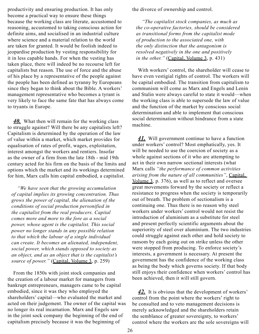productivity and ensuring production. It has only become a practical way to ensure these things because the working class are literate, accustomed to reasoning, accustomed to taking conscious action for definite aims, and socialised in an industrial culture where science and a material relation to the world are taken for granted. It would be foolish indeed to jeopardise production by vesting responsibility for it in less capable hands. For when the vesting has taken place, there will indeed be no recourse left for capitalists but reason. The use of force and the abuse of his place by a representative of the people against the people has been defined as tyranny by Europeans since they began to think about the Bible. A workers' management representative who becomes a tyrant is very likely to face the same fate that has always come to tryants in Europe.

*40.* What then will remain for the working class to struggle against? Will there be any capitalists left? Capitalism is determined by the operation of the law of value within a market, which market provides for equalisation of rates of profit, wages, exploitation, interest amongst the workers and rentiers. Insofar as the owner of a firm from the late 18th - mid 19th century acted for his firm on the basis of the limits and options which the market and its workings determined for him, Marx calls him capital embodied, a capitalist.

*"We have seen that the growing accumulation of capital implies its growing concentration. Thus grows the power of capital, the alienation of the conditions of social production personified in the capitalist from the real producers. Capital comes more and more to the fore as a social power, whose agent is the capitalist. This social power no longer stands in any possible relation to that which the labour of a single individual can create. It becomes an alienated, independent, social power, which stands opposed to society as an object, and as an object that is the capitalist's source of power."* (Capital, Volume 3, p. 259)

From the 1850s with joint stock companies and the creation of a labour market for managers from bankrupt entrepreneurs, managers came to be capital embodied, since it was they who employed the shareholders' capital—who evaluated the market and acted on their judgement. The owner of the capital was no longer its real incarnation. Marx and Engels saw in the joint sock company the beginning of the end of capitalism precisely because it was the beginning of

the divorce of ownership and control.

*"The capitalist stock companies, as much as the co-operative factories, should be considered as transitional forms from the capitalist mode of production to the associated one, with the only distinction that the antagonism is resolved negatively in the one and positively in the other.*" (Capital, Volume  $3$ , p. 431)

With workers' control, the shareholder will cease to have even vestigial rights of control. The workers will be capital embodied. The transition from capitalism to communism will come as Marx and Engels and Lenin and Stalin were always careful to state it would—when the working class is able to supersede the law of value and the function of the market by conscious social determination and able to implement that conscious social determination without hindrance from a state machine.

*41.* Will government continue to have a function under workers' control? Most emphatically, yes. It will be needed to use the coercion of society as a whole against sections of it who are attempting to act in their own narrow sectional interests (what Marx calls *"the performance of common activities arising from the nature of all communities"*, Capital, Volume 3, p. 376), as well as to reflect and oversee great movements forward by the society or reflect a resistance to progress when the society is temporarily out of breath. The problem of sectionalism is a continuing one. Thus there is no reason why steel workers under workers' control would not resist the introduction of aluminium as a substitute for steel and present perfectly scientific arguments about the superiority of steel over aluminium. The two industries could struggle against each other and hold society to ransom by each going out on strike unless the other were stopped from producing. To enforce society's interests, a government is necessary. At present the government has the confidence of the working class as being the body which governs society. If that body still enjoys their confidence when workers' control has been achieved, then it will still govern.

*42.* It is obvious that the development of workers' control from the point where the workers' right to be consulted and to veto management decisions is merely acknowledged and the shareholders retain the semblance of greater sovereignty, to workers' control where the workers are the sole sovereigns will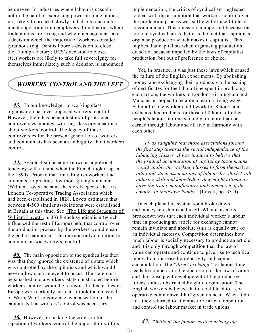be uneven. In industries where labour is casual or not in the habit of exercising power in trade unions, it is likely to proceed slowly and also to encounter much opposition from employers. In industries where trade unions are strong and where management take a decision which the majority of workers consider tyrannous (e.g. Dennis Poore's decision to close the Triumph factory; UCS's decision to close, etc.) workers are likely to take full sovereignty for themselves immediately such a decision is announced.

# *WORKERS' CONTROL AND THE LEFT*

*43.* To our knowledge, no working class organisaiton has ever opposed workers' control. However, there has been a history of protracted controversies amongst working class organisations about workers' control. The legacy of these controversies for the present generation of workers and communists has been an ambiguity about workers' control.

*44.* Syndicalism became known as a political tendency with a name when the French took it up in the 1890s. Prior to that time, English workers had attempted to practice it without giving it a name. (William Lovett became the storekeeper of the first London Co-operative Trading Association which had been established in 1828. Lovett estimates that between 4-500 similar associations were established in Britain at this time. See "The Life and Struggles of William Lovett", p. 33) French syndicalism (which influenced the rest of Europe) held that control over the production process by the workers would mean the end of capitalism. The one and only condition for communism was workers' control.

*45.* The main opposition to the syndicalists then was that they ignored the existence of a state which was controlled by the capitalists and which would never allow such an event to occur. The state must be smashed and a workers' state constructed before workers' control would be realistic. In this, critics in Europe were certainly correct. It took the upheaval of World War I to convince even a section of the capitalists that workers' control was necessary.

*46.* However, in making the criterion for rejection of workers' control the impossibility of its implementation, the critics of syndicalism neglected to deal with the assumption that workers' control over the production process was sufficient of itself to lead to communism. This omission is important because the logic of syndicalism is that it is the fact that capitalists organise production which makes it capitalist. This implies that capitalists when organising production do so not because impelled by the laws of capitalist production, but out of preference or choice.

Yet, in practice, it was just these laws which caused the failure of the English experiments. By abolishing money, and exchanging their products via the issuing of certificates for the labour time spent in producing each article, the workers in London, Birmingham and Manchester hoped to be able to earn a living wage. After all if one worker could work for 8 hours and exchange his products for those of 8 hours of other people's labour, no-one should gain more than he earned through labour and all live in harmony with each other.

*"I was sanguine that those associations formed the first step towards the social independence of the labouring classes…I was induced to believe that the gradual accumulation of capital by these means would enable the working classes to form themselves into joint stock associations of labour, by which (with industry, skill and knowledge) they might ultimately have the trade, manufactures and commerce of the country in their own hands."* (Lovett, pp. 33-4)

In each place this system soon broke down and money re-established itself. What caused its breakdown was that each individual worker's labour time in producing an article for exchange cannot remain inviolate and absolute (this is equally true of an individual factory). Competition determines how much labour is socially necessary to produce an article and it is only through competition that the law of value can operate and continue to give rise to technical innovation, increased productivity and capital accumulation. The *"direct exchange"* of labour time leads to competition, the operation of the law of value and the consequent development of the productive forces, unless obstructed by guild organisation. The English workers believed that it could lead to a cooperative commonwealth if given its head. When it did not, they returned to attempts to restrict competition and control the labour market in trade unions.

#### *47. "Without the factory system arising out*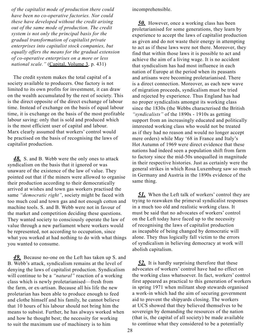*of the capitalist mode of production there could have been no co-operative factories. Nor could these have developed without the credit arising out of the same mode of production. The credit system is not only the principal basis for the gradual transformation of capitalist private enterprises into capitalist stock companies, but equally offers the means for the gradual extension of co-operative enterprises on a more or less national scale."* (Capital, Volume 3, p. 431)

The credit system makes the total capital of a society available to producers. One factory is not limited to its own profits for investment, it can draw on the wealth accumulated by the rest of society. This is the direct opposite of the direct exchange of labour time. Instead of exchange on the basis of equal labour time, it is exchange on the basis of the most profitable labour saving: only that is sold and produced which is the most efficient user of capital and labour. Marx clearly assumed that workers' control would be practised on the basis of recognising the laws of capitalist production.

*48.* S. and B. Webb were the only ones to attack syndicalism on the basis that it ignored or was unaware of the existence of the law of value. They pointed out that if the miners were allowed to organise their production according to their democratically arrived at wishes and town gas workers practised the same *"democratic right"*, society might be faced with too much coal and town gas and not enough cotton and machine tools. S. and B. Webb were not in favour of the market and competition deciding these questions. They wanted society to consciously operate the law of value through a new parliament where workers would be represented, not according to occupation, since what you worked at had nothing to do with what things you wanted to consume.

*49.* Because no-one on the Left has taken up S. and B. Webb's attack, syndicalism remains at the level of denying the laws of capitalist production. Syndicalism will continue to be a *"natural"* reaction of a working class which is newly proletarianised—fresh from the farm, or ex-artisan. Because all his life the new proletarian has been able to produce enough to feed and clothe himself and his family, he cannot believe that 10 hours of his labour should not bring him the means to subsist. Further, he has always worked when and how he thought best; the necessity for working to suit the maximum use of machinery is to him

incomprehensible.

*50.* However, once a working class has been proletarianised for some generations, they learn by experience to accept the laws of capitalist production as given and do not waste their energy in attempting to act as if these laws were not there. Moreover, they find that within those laws it is possible to act and achieve the aim of a living wage. It is no accident that syndicalism has had most influence in each nation of Europe at the period when its peasants and artisans were becoming proletarianised. There is a direct connection. Moreover, as each new wave of migration proceeds, syndicalism must be tried and rejected by experience. Thus England has had no proper syndicalists amongst its working class since the 1830s (the Webbs characterised the British *"syndicalists"* of the 1890s - 1910s as getting support from an increasingly educated and politically interested working class who would not be treated as if they had no reason and would no longer accept mere orders) while May '68 in France and Italy's Hot Autumn of 1969 were direct evidence that these nations had indeed seen a population shift from farm to factory since the mid-50s unequalled in magnitude in their respective histories. Just as certainly were the general strikes in which Rosa Luxemburg saw so much in Germany and Austria in the 1890s evidence of the same thing.

*51.* When the Left talk of workers' control they are trying to reawaken the primeval syndicalist responses in a much too old and realistic working class. It must be said that no advocates of workers' control on the Left today have faced up to the necessity of recognising the laws of capitalist production as incapable of being changed by democratic will alone. They thus logically fall victim to the errors of syndicalism in believing democracy at work will abolish capitalism.

*52.* It is hardly surprising therefore that these advocates of workers' control have had no effect on the working class whatsoever. In fact, workers' control first appeared as practical to this generation of workers in spring 1971 when militant shop stewards organised a work-in which had the aim of securing government aid to prevent the shipyards closing. The workers at UCS showed that they believed themselves to be sovereign by demanding the resources of the nation (that is, the capital of all society) be made available to continue what they considered to be a potentially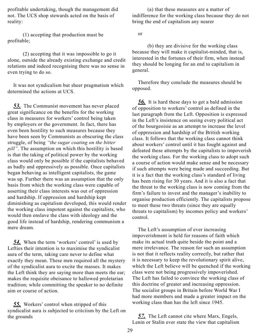profitable undertaking, though the management did not. The UCS shop stewards acted on the basis of reality:

(1) accepting that production must be profitable;

(2) accepting that it was impossible to go it alone, outside the already existing exchange and credit relations and indeed recognising there was no sense in even trying to do so.

It was not syndicalism but sheer pragmatism which determined the actions at UCS.

*53.* The Communist movement has never placed great significance on the benefits for the working class in measures for workers' control being taken by employers or the government. In fact, there has even been hostility to such measures because they have been seen by Communists as obscuring the class struggle, of being *"the sugar coating on the bitter pill"*. The assumption on which this hostility is based is that the taking of political power by the working class would only be possible if the capitalists behaved as badly and oppressively as possible. Once capitalists began behaving as intelligent capitalists, the game was up. Further there was an assumption that the only basis from which the working class were capable of asserting their class interests was out of oppression and hardship. If oppression and hardship kept diminishing as capitalism developed, this would render the working class impotent against the capitalists, who would then enslave the class with ideology and the good life instead of hardship, rendering communism a mere dream.

*54.* When the term 'workers' control' is used by Lefties their intention is to maximise the syndicalist aura of the term, taking care never to define what exactly they mean. These men required all the mystery of the syndicalist aura to excite the masses. It makes the Left think they are saying more than meets the ear; makes the requisite obeisance to hallowed proletarian tradition; while committing the speaker to no definite aim or course of action.

*55.* Workers' control when stripped of this syndicalist aura is subjected to critciism by the Left on the grounds

(a) that these measures are a matter of indifference for the working class because they do not bring the end of capitalism any nearer

or

(b) they are divisive for the working class because they will make it capitalist-minded, that is, interested in the fortunes of their firm, when instead they should be longing for an end to capitalism in general.

Therefore they conclude the measures should be opposed.

*56.* It is hard these days to get a bald admission of opposition to workers' control as defined in the last paragraph from the Left. Opposition is expressed in the Left's insistence on seeing every political act of the bourgeoisie as an attempt to increase the level of oppression and hardship of the British working class. It follows that the working class cannot think about workers' control until it has fought against and defeated these attempts by the capitalists to impoverish the working class. For the working class to adopt such a course of action would make sense and be necessary if such attempts were being made and succeeding. But it is a fact that the working class's standard of living has been rising for 30 years. And it is also a fact that the threat to the working class is now coming from the firm's failure to invest and the manager's inability to organise production efficiently. The capitalists propose to meet these two threats (since they are equally threats to capitalism) by incomes policy and workers' control.

The Left's assumption of ever increasing impoverishment is held for reasons of faith which make its actual truth quite beside the point and a mere irrelevance. The reason for such an assumption is not that it reflects reality correctly, but rather that it is necessary to keep the revolutionary spirit alive, which the Left believe will be quenched if the working class were not being progressively impoverished. The Left has failed to convince the working class of this doctrine of greater and increasing oppression. The socialist groups in Britain before World War I had more members and made a greater impact on the working class than has the left since 1945.

*57.* The Left cannot cite where Marx, Engels, Lenin or Stalin ever state the view that capitalism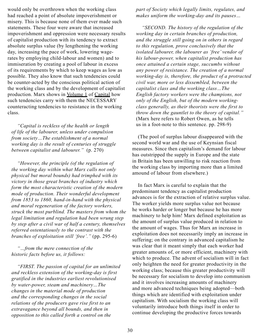would only be overthrown when the working class had reached a point of absolute impoverishment or misery. This is because none of them ever made such statements. These four were aware that increased impoverishment and oppression were necessary results of capitalist production with its tendency to extract absolute surplus value (by lengthening the working day, increasing the pace of work, lowering wagerates by employing child-labour and women) and to immiseration by creating a pool of labour in excess of its requirements by which to keep wages as low as possible. They also know that such tendencies could be counter-acted by the conscious political action of the working class and by the development of capitalist production. Marx shows in Volume 1 of Capital how such tendencies carry with them the NECESSARY counteracting tendencies to resistance in the working class.

*"Capital is reckless of the health or length of life of the labourer, unless under compulsion from society…The establishment of a normal working day is the result of centuries of struggle between capitalist and labourer."* (p. 270)

*"However, the principle (of the regulation of the working day within what Marx calls not only physical but moral bounds) had trimphed with its victory in those great branches of industry which form the most characteristic creation of the modern mode of production. Their wonderful development from 1853 to 1860, hand-in-hand with the physical and moral regeneration of the factory workers, struck the most purblind. The masters from whom the legal limitation and regulation had been wrung step by step after a civil war of half a century, themselves referred ostentatiously to the contrast with the branches of exploitation still 'free'."* (pp. 295-6)

*"…from the mere connection of the historic facts before us, it follows:*

*"FIRST. The passion of capital for an unlimited and reckless extension of the working-day is first gratified in the industries earliest revolutionised by water-power, steam and machinery…The changes in the material mode of production and the corresponding changes in the social relations of the producers gave rise first to an extravagance beyond all bounds, and then in opposition to this called forth a control on the* 

*part of Society which legally limits, regulates, and makes uniform the working-day and its pauses…*

*"SECOND. The history of the regulation of the working day in certain branches of production, and the struggle still going on in others in regard to this regulation, prove conclusively that the isolated labourer, the labourer as 'free' vendor of his labour-power, when capitalist production has once attained a certain stage, succumbs without any power of resistance. The creation of a normal working-day is, therefore, the product of a protracted civil war, more or less dissembled, between the capitalist class and the working class…The English factory workers were the champions, not only of the English, but of the modern workingclass generally, as their theorists were the first to throw down the gauntlet to the theory of capital."*  (Marx here refers to Robert Owen, as he tells us in a foot-note to this sentence. pp. 298-9)

(The pool of surplus labour disappeared with the second world war and the use of Keynsian fiscal measures. Since then capitalism's demand for labour has outstripped the supply in Europe and the state in Britain has been unwilling to risk reaction from the working class by importing more than a limited amound of labour from elsewhere.)

In fact Marx is careful to explain that the predominant tendency as capitalist production advances is for the extraction of relative surplus value. The worker yields more surplus value not because he works harder or longer but because he has more machinery to help him! Marx defined exploitation as the amount of surplus value produced in relation to the amount of wages. Thus for Marx an increase in exploitation does not necessarily imply an increase in suffering; on the contrary in advanced capitalism he was clear that it meant simply that each worker had greater amounts of, or more efficient, machinery with which to produce. The advent of socialism will in fact only heighten the need for greater productivity in the working class; because this greater productivity will be necessary for socialism to develop into communism and it involves increasing amounts of machinery and more advanced techniques being adopted—both things which are identified with exploitation under capitalism. With socialism the working class will voluntarily introduce both things itself in order to continue developing the productive forces towards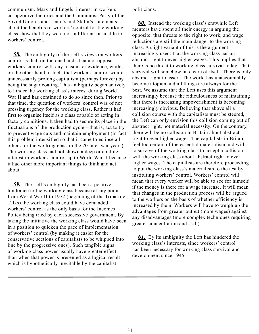communism. Marx and Engels' interest in workers' co-operative factories and the Communist Party of the Soviet Union's and Lenin's and Stalin's statements about the benefits of workers' control for the working class show that they were not indifferent or hostile to workers' control.

*58.* The ambiguity of the Left's views on workers' control is that, on the one hand, it cannot oppose workers' control with any reasons or evidence, while, on the other hand, it feels that workers' control would unnecessarily prolong capitalism (perhaps forever) by being the sugar coating. This ambiguity began actively to hinder the working class's interest during World War II and has continued to do so since then. Prior to that time, the question of workers' control was of not pressing urgency for the working class. Rather it had first to organise itself as a class capable of acting in factory conditions. It then had to secure its place in the fluctuations of the production cycle—that is, act to try to prevent wage cuts and maintain employment (in fact this problem intensified so that it came to eclipse all others for the working class in the 20 inter-war years). The working class had not shown a deep or abiding interest in workers' control up to World War II because it had other more important things to think and act about.

*59.* The Left's ambiguity has been a positive hindrance to the working class because at any point from World War II to 1972 (beginning of the Tripartite Talks) the working class could have demanded workers' control as the only basis for the Incomes Policy being tried by each successive government. By taking the initiative the working class would have been in a position to quicken the pace of implementation of workers' control (by making it easier for the conservative sections of capitalists to be whipped into line by the progressive ones). Such tangible signs of working class power usually have greater effect than when that power is presented as a logical result which is hypothetically inevitable by the capitalist

politicians.

*60.* Instead the working class's erstwhile Left mentors have spent all their energy in arguing the opposite, that threats to the right to work, and wage reductions are still the main danger to the working class. A slight variant of this is the argument increasingly used: that the working class has an abstract right to ever higher wages. This implies that there is no threat to working class survival today. That survival will somehow take care of itself. There is only abstract right to assert. The world has unaccountably become utopian and all things are always for the best. We assume that the Left uses this argument increasingly because the ridiculousness of maintaining that there is increasing impoverishment is becoming increasingly obvious. Believing that above all a collision course with the capitalists must be steered, the Left can only envision this collision coming out of abstract right, not material necessity. On the contrary, there will be no collision in Britain about abstract right to ever higher wages. The capitalists in Britain feel too certain of the essential materialism and will to survive of the working class to accept a collision with the working class about abstract right to ever higher wages. The capitalists are therefore proceeding to put the working class's materialism to the test by instituting workers' control. Workers' control will mean that every worker will be able to see for himself if the money is there for a wage increase. It will mean that changes in the production process will be argued to the workers on the basis of whether efficiency is increased by them. Workers will have to weigh up the advantages from greater output (more wages) against any disadvantages (more complex techniques requiring greater concentration and skill).

*61.* By its ambiguity the Left has hindered the working class's interests, since workers' control has been necessary for working class survival and development since 1945.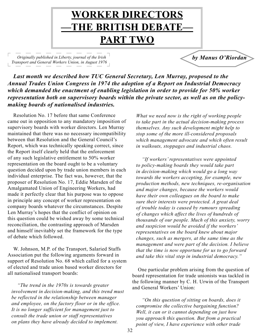<span id="page-31-0"></span>

*Originally published in Liberty, journal of the Irish Transport and General Workers Union, in August 1976* *by Manus O'Riordan*

*Last month we described how TUC General Secretary, Len Murray, proposed to the Annual Trades Union Congress in 1974 the adoption of a Report on Industrial Democracy which demanded the enactment of enabling legislation in order to provide for 50% worker representation both on supervisory boards within the private sector, as well as on the policymaking boards of nationalised industries.*

Resolution No. 17 before that same Conference came out in opposition to any mandatory imposition of supervisory boards with worker directors. Len Murray maintained that there was no necessary incompatibility between that Resolution and the General Council's Report, which was technically speaking correct, since the Report itself clearly held that the enforcement of any such legislative entitlement to 50% worker representation on the board ought to be a voluntary question decided upon by trade union members in each individual enterprise. The fact was, however, that the proposer of Resolution No. 17, Eddie Marsden of the Amalgamated Union of Engineering Workers, had made it perfectly clear that his purpose was to oppose in principle any concept of worker representation on company boards whatever the circumstances. Despite Len Murray's hopes that the conflict of opinion on this question could be wished away by some technical reconciliation, the contrasting approach of Marsden and himself inevitably set the framework for the type of debate which followed.

W. Johnson, M.P. of the Transport, Salaried Staffs Association put the following arguments forward in support of Resolution No. 68 which called for a system of elected and trade union based worker directors for all nationalised transport boards:

*"The trend in the 1970s is towards greater involvement in decision-making, and this trend must be reflected in the relationship between manager and employee, on the factory floor or in the office. It is no longer sufficient for management just to consult the trade union or staff representatives on plans they have already decided to implement.* 

*What we need now is the right of working people to take part in the actual decision-making process themselves. Any such development might help to stop some of the more ill-considered proposals which management advocate and which often result in walkouts, stoppages and industrial chaos.*

*"If workers' representatives were appointed to policy-making boards they would take part in decision-making which would go a long way towards the workers accepting, for example, new production methods, new techniques, re-organisation and major changes, because the workers would have their own colleagues on the board to make sure their interests were protected. A great deal of trouble today is caused by rumours spreading of changes which affect the lives of hundreds of thousands of our people. Much of this anxiety, worry and suspicion would be avoided if the workers' representatives on the board knew about major changes, such as mergers, at the same time as the management and were part of the decision. I believe that the time is now opportune for us to go forward and take this vital step in industrial democracy."*

One particular problem arising from the question of board representation for trade unionists was tackled in the following manner by C. H. Urwin of the Transport and General Workers' Union:

*"On this question of sitting on boards, does it compromise the collective bargaining function? Well, it can or it cannot depending on just how you approach this question. But from a practical point of view, I have experience with other trade*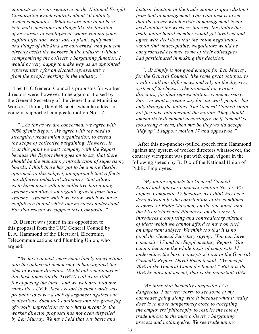*unionists as a representative on the National Freight Corporation which controls about 50 publiclyowned companies…What we are able to do here is to make decisions on things like the location of new areas of employment, where you put your capital injection, what sort of plant, equipment and things of this kind are concerned, and you can directly assist the workers in the industry without compromising the collective bargaining function. I would be very happy to make way as an appointed representative for an elected representative from the people working in the industry."*

The TUC General Council's proposals for worker directors were, however, to be again criticised by the General Secretary of the General and Municipal Workers' Union, David Basnett, when he added his voice in support of composite motion No. 17:

*"…As far as we are concerned, we agree with 90% of this Report. We agree with the need to strengthen trade union organisation, to extend the scope of collective bargaining. However, it is at this point we part company with the Report because the Report then goes on to say that there should be the mandatory introduction of supervisory boards. I think there has got to be a more flexible approach to this subject, an approach that reflects our different industrial structures, that allows us to harmonise with our collective bargaining systems and allows an organic growth from those systems—systems which we know, which we have confidence in and which our members understand. For that reason we support this Composite."*

D. Basnett was joined in his opposition to this proposal from the TUC General Council by E. A. Hammond of the Electrical, Electronic, Telecommunications and Plumbing Union, who argued:

*"We have in past years made lonely interjections into the industrial democracy debate against the idea of worker directors. 'Right old reactionaries' did Jack Jones (of the TGWU) call us in 1968 for opposing the idea—and we welcome into our ranks the AUEW. Jack's resort to such words was probably to cover a lack of argument against our contentions. Such lack continues and the grave fog of woolly imprecision as to what is meant by the worker director proposal has not been dispelled by Len Murray. We have held that our basic and* 

*historic function in the trade unions is quite distinct from that of management. Our vital task is to see that the power which exists in management is not used against the workers' interest. Inevitably the trade union board member would get involved and agree with decisions that the union negotiators would find unacceptable. Negotiators would be compromised because some of their colleagues had participated in making this decision.*

*"…It simply is not good enough for Len Murray, for the General Council, like some great octupus, to swallow all our differences and rely on the digestive system of the beast…The proposal for worker directors, for dual representation, is unnecessary. Sure we want a greater say for our work people, but only through the unions. The General Council shuld not just take into account the motion. They should amend their document accordingly, or if 'amend' is too strong a word, then maybe they would accept 'tidy up'. I support motion 17 and oppose 68."*

After this no-punches-pulled speech from Hammond against any system of worker directors whatsoever, the contrary viewpoint was put with equal vigour in the following speech by B. Dix of the National Union of Public Employees:

*"My union supports the General Council Report and opposes composite motion No. 17. We oppose Composite 17 because, as I think has been demonstrated by the contribution of the combined resource of Eddie Marsden, on the one hand, and the Electricians and Plumbers, on the other, it introduces a confusing and contradictory mixture of ideas which we cannot afford to have on such an important subject. We think too that it is no good the General Secretary saying: 'You can have composite 17 and the Supplementary Report.' You cannot because the whole basis of composite 17 undermines the basic concepts set out in the General Council's Report. David Basnett said: 'We accept 90% of the General Council's Report." But it is the 10% he does not accept, that is the important 10%.*

*"We think that basically composite 17 is dangerous. I am very sorry to see some of my comrades going along with it because what it really does is to move dangerously close to accepting the employers' philosophy to restrict the role of trade unions to the pure collective bargaining process and nothing else. We see trade unions*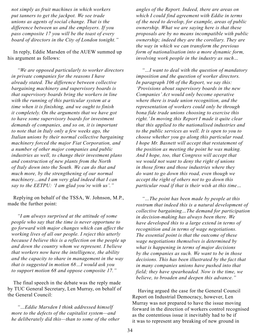*not simply as fruit machines in which workers put tanners to get the jackpot. We see trade unions as agents of social change. That is the difference between us and the employers. If you pass composite 17 you will be the toast of every board of directors in the City of London tonight."*

In reply, Eddie Marsden of the AUEW summed up his argument as follows:

*"We are opposed particularly to worker directors in private companies for the reasons I have already stated. The difference between collective bargaining machinery and supervisory boards is that supervisory boards bring the workers in line with the running of this particular system at a time when it is finishing, and we ought to finish it completely. On the arguments that we have got to have some supervisory boards for investment demands of companies, and so on, it is important to note that in Italy only a few weeks ago, the Italian unions by their normal collective bargaining machinery forced the major Fiat Corporation, and a number of other major companies and public industries as well, to change their investment plans and construction of new plants from the North of Italy down into the South. We can do that and much more, by the strengthening of our normal machinery…and I am very glad indeed that I can say to the EETPU: 'I am glad you're with us'."*

Replying on behalf of the TSSA, W. Johnson, M.P., made the further point:

*"I am always surprised at the attitude of some people who say that the time is never opportune to go forward with major changes which can affect the working lives of all our people. I reject this utterly because I believe this is a reflection on the people up and down the country whom we represent. I believe that workers now have the intelligence, the ability and the capacity to share in management in the way that is suggested in motion 68…I would ask you to support motion 68 and oppose composite 17."*

The final speech in the debate was the reply made by TUC General Secretary, Len Murray, on behalf of the General Council:

*"…Eddie Marsden I think addressed himself more to the defects of the capitalist system—and he deliberately did this—than to some of the other* 

*angles of the Report. Indeed, there are areas on which I could find agreement with Eddie in terms of the need to develop, for example, areas of public ownership. What we are saying here is that these proposals are by no means incompatible with public ownership; indeed they are the corollary. They are the way in which we can transform the previous form of nationalisation into a more dynamic form, involving work people in the industry as such…*

*"…I want to deal with the question of mandatory imposition and the question of worker directors. In paragraph 106 of the Report, we say this: 'Provisions about supervisory boards in the new Companies' Act would only become operative where there is trade union recognition, and the representation of workers could only be through bona fide trade unions choosing to exercise this right.' In moving this Report I made it quite clear that this applied to the nationalised industries and to the public services as well. It is open to you to choose whether you go along this particular road. I hope Mr. Basnett will accept that restatement of the position as meeting the point he was making. And I hope, too, that Congress will accept that we would not want to deny the right of unions in those firms and those industries where they do want to go down this road, even though we accept the right of others not to go down this particular road if that is their wish at this time…*

*"…The point has been made by people at this rostrum that indeed this is a natural development of collective bargaining…The demand for participation in decision-making has always been there. We have developed this to a large extend in terms of recognition and in terms of wage negotiations. The essential point is that the outcome of these wage negotiations themselves is determined by what is happening in terms of major decisions by the companies as such. We want to be in those decisions. This has been illustrated by the fact that in many companies unions have pushed into that field; they have spearheaded. Now is the time, we believe, to broaden and deepen this advance."*

Having argued the case for the General Council Report on Industrial Democracy, however, Len Murray was not prepared to have the issue moving forward in the direction of workers control recognised as the contentious issue it inevitably had to be if it was to represent any breaking of new ground in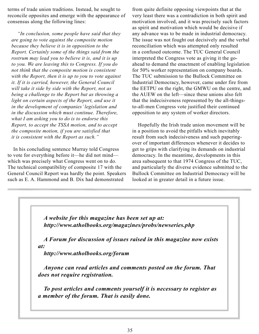terms of trade union traditions. Instead, he sought to reconcile opposites and emerge with the appearance of consensus along the following lines:

*"In conclusion, some people have said that they are going to vote against the composite motion because they believe it is in opposition to the Report. Certainly some of the things said from the rostrum may lead you to believe it is, and it is up to you. We are leaving this to Congress. If you do not think that the composite motion is consistent with the Report, then it is up to you to vote against it. If it is carried, however, the General Council will take it side by side with the Report, not as being a challenge to the Report but as throwing a light on certain aspects of the Report, and use it in the development of companies' legislation and in the discussion which must continue. Therefore, what I am asking you to do is to endorse this Report, to accept the TSSA motion, and to accept the composite motion, if you are satisfied that it is consistent with the Report as such."*

In his concluding sentence Murray told Congress to vote for everything before it—he did not mind which was precisely what Congress went on to do. The technical compatibility of composite 17 with the General Council Report was hardly the point. Speakers such as E. A. Hammond and B. Dix had demonstrated

from quite definite opposing viewpoints that at the very least there was a contradiction in both spirit and motivation involved, and it was precisely such factors as spirit and motivation which would be decisive if any advance was to be made in industrial democracy. The issue was not fought out decisively and the verbal reconciliation which was attempted only resulted in a confused outcome. The TUC General Council interpreted the Congress vote as giving it the goahead to demand the enactment of enabling legislation for 50% worker representation on company boards. The TUC submission to the Bullock Committee on Industrial Democracy, however, came under fire from the EETPU on the right, the GMWU on the centre, and the AUEW on the left—since these unions also felt that the indecisiveness represented by the all-thingsto-all-men Congress vote justified their continued opposition to any system of worker directors.

Hopefully the Irish trade union movement will be in a position to avoid the pitfalls which inevitably result from such indecisiveness and such paperingover of important differences whenever it decides to get to grips with clarifying its demands on industrial democracy. In the meantime, developments in this area subsequent to that 1974 Congress of the TUC, and particularly the diverse evidence submitted to the Bullock Committee on Industrial Democracy will be looked at in greater detail in a future issue.

*A website for this magazine has been set up at: http://www.atholbooks.org/magazines/probs/newseries.php*

*A Forum for discussion of issues raised in this magazine now exists at:*

*http://www.atholbooks.org/forum*

*Anyone can read articles and comments posted on the forum. That does not require registration.* 

*To post articles and comments yourself it is necessary to register as a member of the forum. That is easily done.*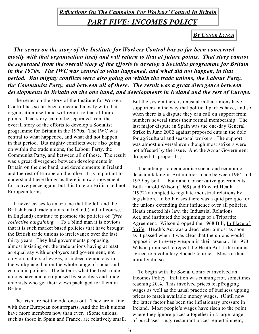# *Reflections On The Campaign For Workers' Control In Britain Part Five: Incomes Policy*

#### *By Conor Lynch*

<span id="page-35-0"></span>*The series on the story of the Institute for Workers Control has so far been concerned mostly with that organisation itself and will return to that at future points. That story cannot be separated from the overall story of the efforts to develop a Socialist programme for Britain in the 1970s. The IWC was central to what happened, and what did not happen, in that period. But mighty conflicts were also going on within the trade unions, the Labour Party, the Communist Party, and between all of these. The result was a great divergence between developments in Britain on the one hand, and developments in Ireland and the rest of Europe.* 

The series on the story of the Institute for Workers Control has so far been concerned mostly with that organisation itself and will return to that at future points. That story cannot be separated from the overall story of the efforts to develop a Socialist programme for Britain in the 1970s. The IWC was central to what happened, and what did not happen, in that period. But mighty conflicts were also going on within the trade unions, the Labour Party, the Communist Party, and between all of these. The result was a great divergence between developments in Britain on the one hand, and developments in Ireland and the rest of Europe on the other. It is important to understand these things as there is now a movement for convergence again, but this time on British and not European terms.

It never ceases to amaze me that the left and the British based trade unions in Ireland (and, of course, in England) continue to promote the policies of *"free collective bargaining"*. To a blind man it is obvious that it is such market based policies that have brought the British trade unions to irrelevance over the last thirty years. They had governments proposing, almost insisting on, the trade unions having at least an equal say with employers and government, not only on matters of wages, or indeed democracy in the workplace, but on the whole range of social and economic policies. The latter is what the Irish trade unions have and are opposed by socialists and trade unionists who get their views packaged for them in Britain.

The Irish are not the odd ones out. They are in line with their European counterparts. And the Irish unions have more members now than ever. (Some unions, such as those in Spain and France, are relatively small. But the system there is unusual in that unions have supporters in the way that political parties have, and so when there is a dispute they can call on support from numbers several times their formal membership. The last major dispute in Spain was the one-day General Strike in June 2002 against proposed cuts in the dole for agricultural and seasonal workers. The support was almost universal even though most strikers were not affected by the issue. And the Aznar Government dropped its proposals.)

The attempt to democratise social and economic decision taking in Britain took place between 1964 and 1979 by both Labour and Conservative governments. Both Harold Wilson (1969) and Edward Heath (1972) attempted to regulate industrial relations by legislation. In both cases there was a quid pro quo for the unions extending their influence over all policies. Heath enacted his law, the Industrial Relations Act, and instituted the beginnings of a Tripartite Agreement. Wilson dropped the 1968 Bill, In Place of Strife. Heath's Act was a dead letter almost as soon as it passed when it was clear that the unions would oppose it with every weapon in their arsenal. In 1973 Wilson promised to repeal the Heath Act if the unions agreed to a voluntary Social Contract. Most of them initially did so.

To begin with the Social Contract involved an Incomes Policy. Inflation was running riot, sometimes reaching 20%. This involved prices leapfrogging wages as well as the usual practice of business upping prices to match available money wages. (Until now the latter factor has been the inflationary pressure in Ireland. Most people's wages have risen to the point where they ignore prices altogether in a large range of purchases—e.g. restaurant prices, entertainment,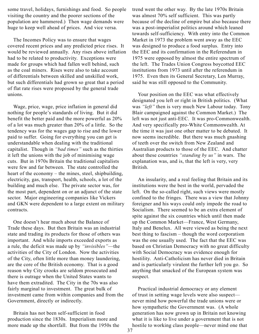some travel, holidays, furnishings and food. So people visiting the country and the poorer sections of the population are hammered.) Then wage demands were huge to keep well ahead of prices. And vice versa.

The Incomes Policy was to ensure that wages covered recent prices and any predicted price rises. It would be reviewed annually. Any rises above inflation had to be related to productivity. Exceptions were made for groups which had fallen well behind, such as the coal miners. Rises were also to take account of differentials between skilled and unskilled work, but such differentials had grown so great that a period of flat rate rises were proposed by the general trade unions.

Wage, price, wage, price inflation in general did nothing for people's standards of living. But it did benefit the better paid and the more powerful as 20% of a lot was much greater than 20% of a little. So the tendency was for the wages gap to rise and the lower paid to suffer. Going for everything you can get is understandable when dealing with the traditional capitalist. Though in *"bad times"* such as the thirties it left the unions with the job of minimising wage cuts. But in 1970s Britain the traditional capitalists were few and far between. The state controlled the heart of the economy – the mines, steel, shipbuilding, electricity, gas, transport, health, schools, a lot of the building and much else. The private sector was, for the most part, dependent on or an adjunct of the state sector. Major engineering companies like Vickers and GKN were dependent to a large extent on military contracts.

One doesn't hear much about the Balance of Trade these days. But then Britain was an industrial state and trading its products for those of others was important. And while imports exceeded exports as a rule, the deficit was made up by *"invisibles"*—the activities of the City of London. Now the activities of the City, often little more than money laundering, are the core of the British economy. That is a good reason why City crooks are seldom prosecuted and there is outrage when the United States wants to have them extradited. The City in the 70s was also fairly marginal to investment. The great bulk of investment came from within companies and from the Government, directly or indirectly.

Britain has not been self-sufficient in food production since the 1830s. Imperialism more and more made up the shortfall. But from the 1950s the trend went the other way. By the late 1970s Britain was almost 70% self sufficient. This was partly because of the decline of empire but also because there was a post-imperialist politics around which leaned towards self-sufficiency. With entry into the Common Market in 1973 the problem went away as the EEC was designed to produce a food surplus. Entry into the EEC and its confirmation in the Referendum in 1975 were opposed by almost the entire spectrum of the left. The Trades Union Congress boycotted EEC institutions from 1973 until after the referendum in 1975. Even then its General Secretary, Len Murray, said he was still opposed to the Community.

Your position on the EEC was what effectively designated you left or right in British politics. (What was *"left"* then is very much New Labour today. Tony Blair campaigned against the Common Market.) The left was not just anti-EEC. It was pro-Commonwealth. And very specifically pro-White Commonwealth. At the time it was just one other matter to be debated. It now seems incredible. But there was much gnashing of teeth over the switch from New Zealand and Australian products to those of the EEC. And chatter about these countries *"standing by us"* in wars. The explanation was, and is, that the left is very, very British.

An insularity, and a real feeling that Britain and its institutions were the best in the world, pervaded the left. On the so-called right, such views were mostly confined to the fringes. There was a view that Johnny foreigner and his ways could only impede the road to Socialism. There seemed to be an extra element of spite against the six countries which until then made up the Common Market—France, West Germany, Italy and Benelux. All were viewed as being the next best thing to fascism – though the word corporatism was the one usually used. The fact that the EEC was based on Christian Democracy with no great difficulty with Social Democracy was evidence enough for hostility. Anti-Catholicism has never died in Britain and is particularly virulent the further left you go. So anything that smacked of the European system was suspect.

Practical industrial democracy or any element of trust in setting wage levels were also suspect never mind how powerful the trade unions were or how sympathetic the Government was. (A whole generation has now grown up in Britain not knowing what it is like to live under a government that is not hostile to working class people—never mind one that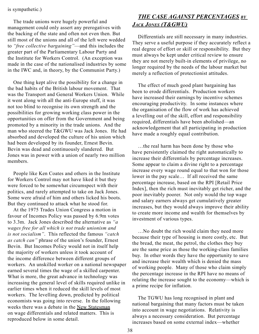is sympathetic.)

The trade unions were hugely powerful and management could only assert any prerogatives with the backing of the state and often not even then. But still most of the unions and all of the left were wedded to *"free collective bargaining"*—and this includes the greater part of the Parliamentary Labour Party and the Institute for Workers Control. (An exception was made in the case of the nationalised industries by some in the IWC and, in theory, by the Communist Party.)

One thing kept alive the possibility for a change in the bad habits of the British labour movement. That was the Transport and General Workers Union. While it went along with all the anti-Europe stuff, it was not too blind to recognise its own strength and the possibilities for growing working class power in the opportunities on offer from the Government and being promoted by a minority in the trade unions. And the man who steered the T&GWU was Jack Jones. He had absorbed and developed the culture of his union which had been developed by its founder, Ernest Bevin. Bevin was dead and continuously slandered. But Jones was in power with a union of nearly two million members.

People like Ken Coates and others in the Institute for Workers Control may not have liked it but they were forced to be somewhat circumspect with their politics, and rarely attempted to take on Jack Jones. Some were afraid of him and others licked his boots. But they continued to attack what he stood for.

At the 1975 Trades Union Congress a motion in favour of Incomes Policy was passed by 6.9m votes to 3.3m. Jack Jones described the alternative as *"a wages free for all which is not trade unionism and is not socialism"*. This reflected the famous *"catch as catch can"* phrase of the union's founder, Ernest Bevin. But Incomes Policy would not in itself help the majority of workers unless it took account of the income difference between different groups of workers. An unskilled worker on a national newspaper earned several times the wage of a skilled carpenter. What is more, the great advance in technology was increasing the general level of skills required unlike in earlier times when it reduced the skill levels of most workers. The levelling down, predicted by political economists was going into reverse. In the following weeks there was a debate in the New Statesman on wage differentials and related matters. This is reproduced below in some detail.

# *THE CASE AGAINST PERCENTAGES by Jack Jones (T&GWU)*

Differentials are still necessary in many industries. They serve a useful purpose if they accurately reflect a real degree of effort or skill or responsibility. But they must always be kept under critical review to ensure they are not merely built-in elements of privilege, no longer required by the needs of the labour market but merely a reflection of protectionist attitudes.

The effect of much good plant bargaining has been to erode differentials. Production workers have increased their earnings by incentive schemes encouraging productivity. In some instances where the organisation of the flow of work has achieved a levelling out of the skill, effort and responsibility required, differentials have been abolished—an acknowledgement that all participating in production have made a roughly equal contribution.

…the real harm has been done by those who have persistently claimed the right automatically to increase their differentials by percentage increases. Some appear to claim a divine right to a percentage increase every wage round equal to that won for those lower in the pay scale… If all received the same percentage increase, based on the RPI [Retail Price Index], then the rich must inevitably get richer, and the poor inevitably poorer. Not only would the top wage and salary earners always get cumulatively greater increases, but they would always improve their ability to create more income and wealth for themselves by investment of various types.

…No doubt the rich would claim they need more because their type of housing is more costly, etc. But the bread, the meat, the petrol, the clothes they buy are the same price as those the working-class families buy. In other words they have the opportunity to save and increase their wealth which is denied the mass of working people. Many of those who claim simply the percentage increase in the RPI have no means of relating the increase sought to the economy—which is a prime recipe for inflation.

The TGWU has long recognised in plant and national bargaining that many factors must be taken into account in wage negotiations. Relativity is always a necessary consideration. But percentage increases based on some external index—whether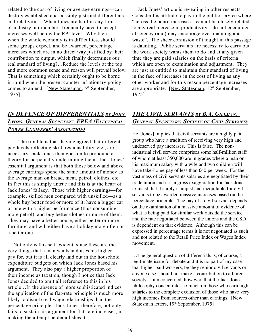related to the cost of living or average earnings—can destroy established and possibly justified differentials and relativities. When times are hard in any firm or industry our members frequently have to accept increases well below the RPI level. Why then, when the whole economy is in difficulties, should some groups expect, and be awarded, percentage increases which are in no direct way justified by their contribution to output, which finally determines our real standard of living?…Reduce the levels at the top and more common sense and reason will prevail below. That is something which certainly ought to be borne in mind when the present counter-inflationary policy comes to an end. [New Statesman, 5<sup>th</sup> September, 1975]

# *IN DEFENCE OF DIFFERENTIALS by John Lyons, General Secretary, EPEA (Electrical Power Engineers' Association)*

…The trouble is that, having agreed that different pay levels reflecting skill, responsibility, etc., are necessary, Jack Jones then goes on to propound a theory for perpetually undermining them. Jack Jones' essential argument is that both those below and above average earnings spend the same amount of money as the average man on bread, meat, petrol, clothes, etc. In fact this is simply untrue and this is at the heart of Jack Jones' fallacy. Those with higher earnings—for example, skilled men compared with unskilled—as a whole buy better food or more of it, have a bigger car or one with a higher performance (thus consuming more petrol), and buy better clothes or more of them. They may have a better house, either better or more furniture, and will either have a holiday more often or a better one.

Not only is this self-evident, since these are the very things that a man wants and uses his higher pay for, but it is all clearly laid out in the household expenditure budgets on which Jack Jones based his argument. They also pay a higher proportion of their income as taxation, though I notice that Jack Jones decided to omit all reference to this in his article…In the absence of more sophisticated indices the application of the flat-rate principle is much more likely to disturb real wage relationships than the percentage principle. Jack Jones, therefore, not only fails to sustain his argument for flat-rate increases; in making the attempt he demolishes it.

Jack Jones' article is revealing in other respects. Consider his attitude to pay in the public service where "across the board increases…cannot be closely related to any real increase in productivity…do not encourage efficiency (and) may encourage over-manning and waste". The sheer confusion of thought in this passage is daunting. Public servants are necessary to carry out the work society wants them to do and at any given time they are paid salaries on the basis of criteria which are open to examination and adjustment. They are just as entitled to maintain their standard of living in the face of increases in the cost of living as any other worker and for this reason percentage increases are appropriate. [New Statesman, 12th September, 1975]

# *THE CIVIL SERVANTS by B.A. Gillman. General Secretary, Society of Civil Servants*

He [Jones] implies that civil servants are a highly paid group who have a tradition of receiving very high and undeserved pay increases. This is false. The nonindustrial civil service comprises some half-million staff of whom at least 350,000 are in grades where a man on his maximum salary with a wife and two children will have take-home pay of less than £40 per week. For the vast mass of civil servants salaries are negotiated by their trade union and it is a gross exaggeration for Jack Jones to insist that it surely is unjust and inequitable for civil servants to be awarded massive increases based on the percentage principle. The pay of a civil servant depends on the examination of a massive amount of evidence of what is being paid for similar work outside the service and the rate negotiated between the unions and the CSD is dependent on that evidence. Although this can be expressed in percentage terms it is not negotiated as such and not related to the Retail Price Index or Wages Index movement.

…The general question of differentials is, of course, a legitimate issue for debate and it is no part of my case that higher paid workers, be they senior civil servants or anyone else, should not make a contribution to a fairer society. I am concerned, however, that the Jack Jones philosophy concentrates so much on those who earn high salaries to the complete exclusion of those who have very high incomes from sources other than earnings. [New Statesman letters, 19<sup>th</sup> September, 1975]